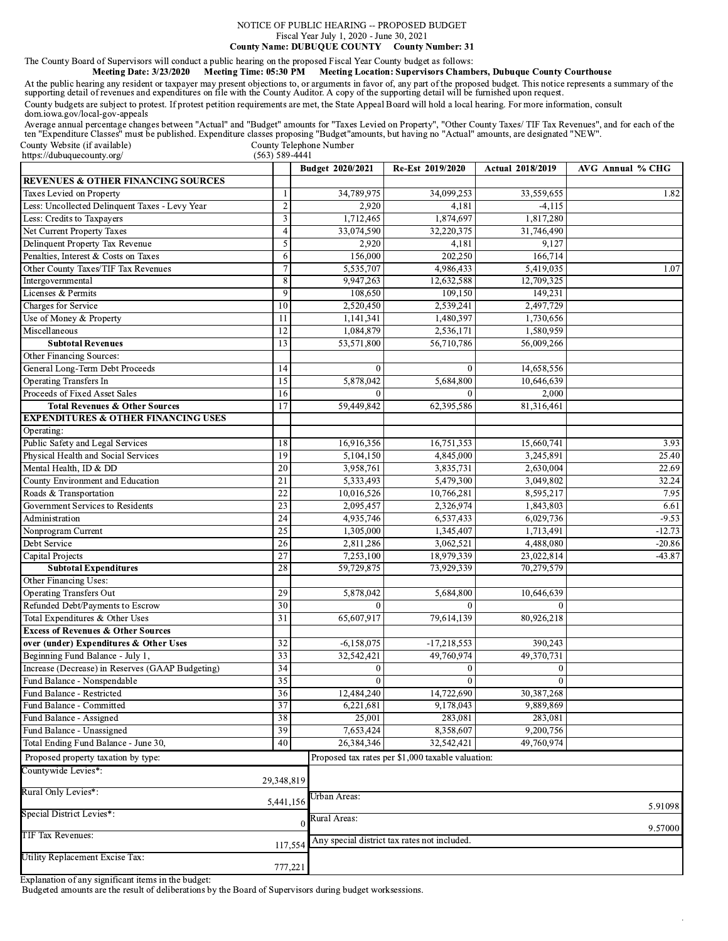### NOTICE OF PUBLIC HEARING -- PROPOSED BUDGET Fiscal Year July 1, 2020 - June 30, 2021 County Name: DUBUQUE COUNTY County Number: 31

## The County Board of Supervisors will conduct a public hearing on the proposed Fiscal Year County budget as follows:

Meeting Date: 3/23/2020 Meeting Time: 05:30 PM Meeting Location: Supervisors Chambers, Dubuque County Courthouse

At the public hearing any resident or taxpayer may present objections to, or arguments in favor of, any part of the proposed budget. This notice represents a summary of the supporting detail of revenues and expenditures on County budgets are subject to protest. If protest petition requirements are met, the State Appeal Board will hold a local hearing. For more information, consult dom.iowa.gov/local-gov-appeals

Average annual percentage changes between "Actual" and "Budget" amounts for "Taxes Levied on Property", "Other County Taxes/ TIF Tax Revenues", and for each of the ten "Expenditure Classes" must be published. Expenditure c  $\frac{1}{2}$  County Telephone Number<br>(563) 589-4441 County Website (if available)

https://dubuquecounty.org/

|                                                                                 |                 | Budget 2020/2021         | Re-Est 2019/2020                                  | <b>Actual 2018/2019</b> | AVG Annual % CHG |
|---------------------------------------------------------------------------------|-----------------|--------------------------|---------------------------------------------------|-------------------------|------------------|
| <b>REVENUES &amp; OTHER FINANCING SOURCES</b>                                   |                 |                          |                                                   |                         |                  |
| Taxes Levied on Property                                                        |                 | 34,789,975               | 34,099,253                                        | 33,559,655              | 1.82             |
| Less: Uncollected Delinquent Taxes - Levy Year                                  | $\overline{2}$  | 2,920                    | 4,181                                             | $-4,115$                |                  |
| Less: Credits to Taxpayers                                                      | 3               | 1,712,465                | 1,874,697                                         | 1,817,280               |                  |
| Net Current Property Taxes                                                      | 4               | 33,074,590               | 32,220,375                                        | 31,746,490              |                  |
| Delinquent Property Tax Revenue                                                 | 5               | 2,920                    | 4,181                                             | 9,127                   |                  |
| Penalties, Interest & Costs on Taxes                                            | 6               | 156,000                  | 202,250                                           | 166,714                 |                  |
| Other County Taxes/TIF Tax Revenues                                             | 7               | 5,535,707                | 4,986,433                                         | 5,419,035               | 1.07             |
| Intergovernmental                                                               | 8               | 9,947,263                | 12,632,588                                        | 12,709,325              |                  |
| Licenses & Permits                                                              | 9               | 108,650                  | 109,150                                           | 149,231                 |                  |
| Charges for Service                                                             | 10              | 2,520,450                | 2,539,241                                         | 2,497,729               |                  |
| Use of Money & Property                                                         | 11              | 1,141,341                | 1,480,397                                         | 1,730,656               |                  |
| Miscellaneous                                                                   | 12              | 1,084,879                | 2,536,171                                         | 1,580,959               |                  |
| <b>Subtotal Revenues</b>                                                        | 13              | 53,571,800               | 56,710,786                                        | 56,009,266              |                  |
| Other Financing Sources:                                                        |                 |                          |                                                   |                         |                  |
| General Long-Term Debt Proceeds                                                 | 14              | $\mathbf{0}$             | $\overline{0}$                                    | 14,658,556              |                  |
| <b>Operating Transfers In</b>                                                   | 15              | 5,878,042                | 5,684,800                                         | 10,646,639              |                  |
| Proceeds of Fixed Asset Sales                                                   | 16              | $\Omega$                 |                                                   | 2,000                   |                  |
| <b>Total Revenues &amp; Other Sources</b>                                       | $\overline{17}$ | 59,449,842               | 62,395,586                                        | 81,316,461              |                  |
| <b>EXPENDITURES &amp; OTHER FINANCING USES</b>                                  |                 |                          |                                                   |                         |                  |
| Operating:                                                                      |                 |                          |                                                   |                         |                  |
| Public Safety and Legal Services                                                | 18              | 16,916,356               | 16,751,353                                        | 15,660,741              | 3.93             |
| Physical Health and Social Services                                             | 19              | 5,104,150                | 4,845,000                                         | 3,245,891               | 25.40            |
| Mental Health, ID & DD                                                          | 20              | 3,958,761                | 3,835,731                                         | 2,630,004               | 22.69            |
| County Environment and Education                                                | 21              | 5,333,493                | 5,479,300                                         | 3,049,802               | 32.24            |
| Roads & Transportation                                                          | $\overline{22}$ | 10,016,526               | 10,766,281                                        | 8,595,217               | 7.95             |
| Government Services to Residents                                                | 23              | 2,095,457                | 2,326,974                                         | 1,843,803               | 6.61             |
| Administration                                                                  | 24              | 4,935,746                | 6,537,433                                         | 6,029,736               | $-9.53$          |
| Nonprogram Current                                                              | 25              | 1,305,000                | 1,345,407                                         | 1,713,491               | $-12.73$         |
| Debt Service                                                                    | 26              | 2,811,286                | 3,062,521                                         | 4,488,080               | $-20.86$         |
| Capital Projects                                                                | 27              | 7,253,100                | 18,979,339                                        | 23,022,814              | $-43.87$         |
| <b>Subtotal Expenditures</b>                                                    | 28              | 59,729,875               | 73,929,339                                        | 70,279,579              |                  |
| Other Financing Uses:                                                           |                 |                          |                                                   |                         |                  |
| <b>Operating Transfers Out</b>                                                  | 29              | 5,878,042                | 5,684,800                                         | 10,646,639              |                  |
| Refunded Debt/Payments to Escrow                                                | 30              | $\Omega$                 |                                                   |                         |                  |
| Total Expenditures & Other Uses                                                 | 31              | 65,607,917               | 79,614,139                                        | 80,926,218              |                  |
| <b>Excess of Revenues &amp; Other Sources</b>                                   |                 |                          |                                                   |                         |                  |
| over (under) Expenditures & Other Uses                                          | 32              | $-6,158,075$             | $-17,218,553$                                     | 390,243                 |                  |
| Beginning Fund Balance - July 1,                                                | 33              | 32,542,421               | 49,760,974                                        | 49,370,731              |                  |
| Increase (Decrease) in Reserves (GAAP Budgeting)<br>Fund Balance - Nonspendable | 34              | $\mathbf{0}$             | $\bf{0}$                                          | $\Omega$                |                  |
| Fund Balance - Restricted                                                       | 35<br>36        | $\bf{0}$<br>12,484,240   | $\mathbf 0$<br>14,722,690                         | $\bf{0}$<br>30,387,268  |                  |
| Fund Balance - Committed                                                        | 37              | 6,221,681                | 9,178,043                                         | 9,889,869               |                  |
|                                                                                 | 38              | 25,001                   | 283.081                                           | 283,081                 |                  |
| Fund Balance - Assigned<br>Fund Balance - Unassigned                            | 39              | 7,653,424                | 8,358,607                                         | 9,200,756               |                  |
| Total Ending Fund Balance - June 30,                                            | 40              | 26,384,346               | 32,542,421                                        | 49,760,974              |                  |
|                                                                                 |                 |                          |                                                   |                         |                  |
| Proposed property taxation by type:                                             |                 |                          | Proposed tax rates per \$1,000 taxable valuation: |                         |                  |
| Countywide Levies*.                                                             | 29,348,819      |                          |                                                   |                         |                  |
| Rural Only Levies*:                                                             | 5,441,156       | Urban Areas:             |                                                   |                         |                  |
| Special District Levies*:                                                       |                 | Rural Areas:<br>$\Omega$ |                                                   |                         | 5.91098          |
| TIF Tax Revenues:                                                               | 117,554         |                          | Any special district tax rates not included.      |                         | 9.57000          |
| Utility Replacement Excise Tax:                                                 |                 |                          |                                                   |                         |                  |
|                                                                                 | 777,221         |                          |                                                   |                         |                  |

Explanation of any significant items in the budget:

Budgeted amounts are the result of deliberations by the Board of Supervisors during budget worksessions.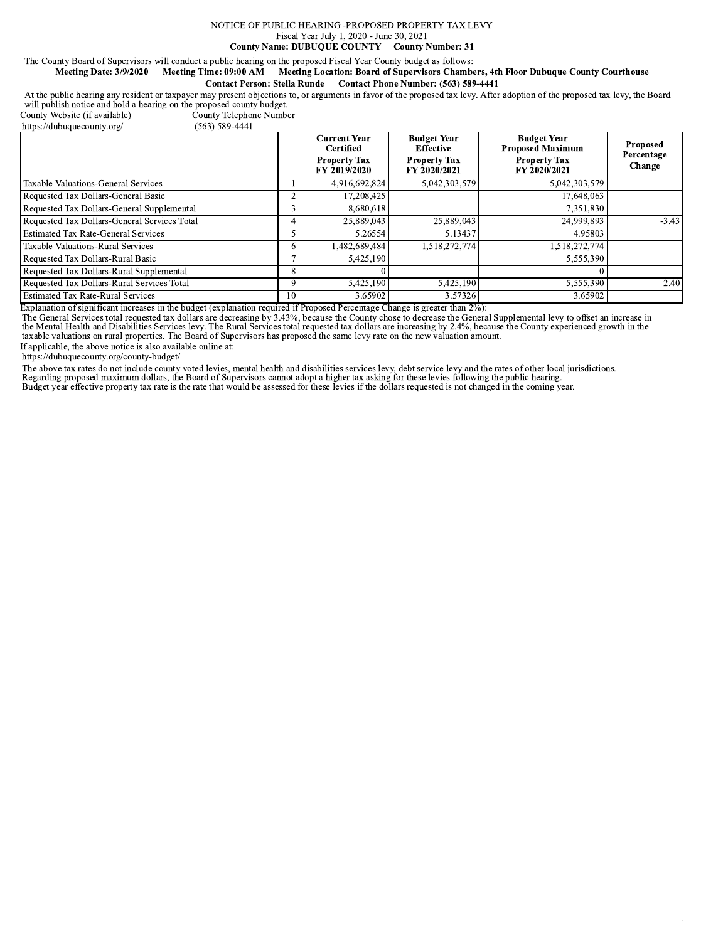### NOTICE OF PUBLIC HEARING -PROPOSED PROPERTY TAX LEVY Fiscal Year July 1, 2020 - June 30, 2021 **County Name: DUBUQUE COUNTY County Number: 31**

# The County Board of Supervisors will conduct a public hearing on the proposed Fiscal Year County budget as follows:

### Meeting Date: 3/9/2020 Meeting Time: 09:00 AM Meeting Location: Board of Supervisors Chambers, 4th Floor Dubuque County Courthouse

**Contact Person: Stella Runde** Contact Phone Number: (563) 589-4441

At the public hearing any resident or taxpayer may present objections to, or arguments in favor of the proposed tax levy. After adoption of the proposed tax levy, the Board will publish notice and hold a hearing on the pro

County Website (if available) https://dubuquecounty.org/

County Telephone Number  $(563)$  589-4441

|                                              |    | <b>Current Year</b><br><b>Certified</b> | <b>Budget Year</b><br><b>Effective</b> | <b>Budget Year</b><br><b>Proposed Maximum</b> | <b>Proposed</b><br>Percentage |
|----------------------------------------------|----|-----------------------------------------|----------------------------------------|-----------------------------------------------|-------------------------------|
|                                              |    | <b>Property Tax</b><br>FY 2019/2020     | <b>Property Tax</b><br>FY 2020/2021    | <b>Property Tax</b><br>FY 2020/2021           | Change                        |
| Taxable Valuations-General Services          |    | 4,916,692,824                           | 5,042,303,579                          | 5,042,303,579                                 |                               |
| Requested Tax Dollars-General Basic          |    | 17,208,425                              |                                        | 17,648,063                                    |                               |
| Requested Tax Dollars-General Supplemental   |    | 8.680.618                               |                                        | 7,351,830                                     |                               |
| Requested Tax Dollars-General Services Total |    | 25,889,043                              | 25,889,043                             | 24,999,893                                    | $-3.43$                       |
| <b>Estimated Tax Rate-General Services</b>   |    | 5.26554                                 | 5.13437                                | 4.95803                                       |                               |
| Taxable Valuations-Rural Services            |    | 1,482,689,484                           | 1.518.272.774                          | 1,518,272,774                                 |                               |
| Requested Tax Dollars-Rural Basic            |    | 5,425,190                               |                                        | 5,555,390                                     |                               |
| Requested Tax Dollars-Rural Supplemental     |    |                                         |                                        |                                               |                               |
| Requested Tax Dollars-Rural Services Total   |    | 5.425,190                               | 5,425,190                              | 5,555,390                                     | 2.40                          |
| <b>Estimated Tax Rate-Rural Services</b>     | 10 | 3.65902                                 | 3.57326                                | 3.65902                                       |                               |

Explanation of significant increases in the budget (explanation required if Proposed Percentage Change is greater than 2%):

Expansion of significant increases in the business of the County of the County choice is the County of the Mental Health and Disabilities Services total requested tax dollars are decreasing by 3.43%, because the County cho

If applicable, the above notice is also available online at:

https://dubuquecounty.org/county-budget/

The above tax rates do not include county voted levies, mental health and disabilities services levy, debt service levy and the rates of other local jurisdictions.<br>Regarding proposed maximum dollars, the Board of Superviso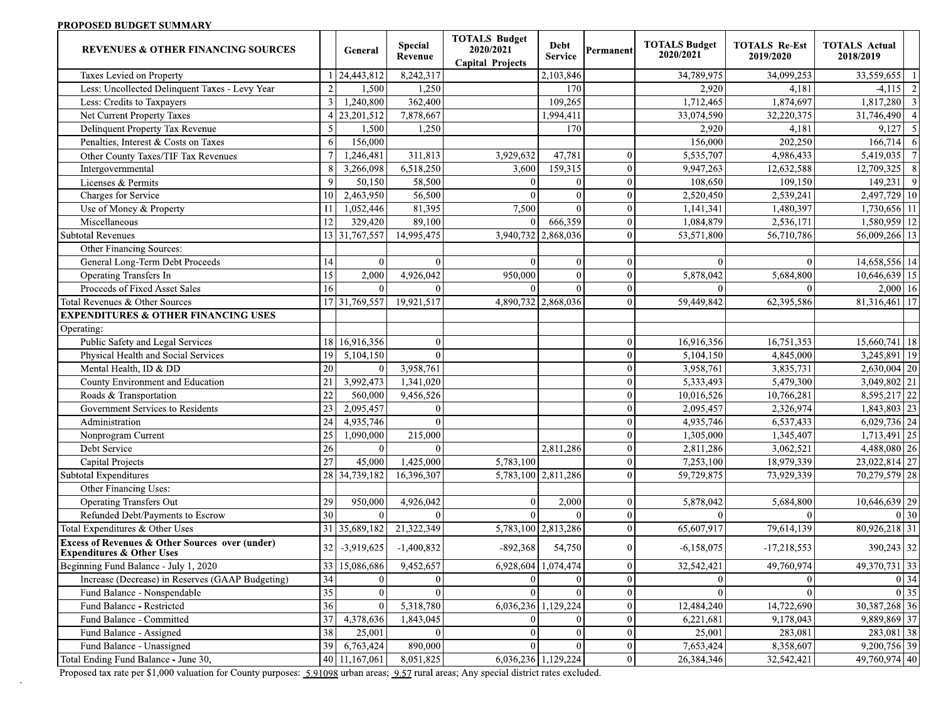## PROPOSED BUDGET SUMMARY

| <b>REVENUES &amp; OTHER FINANCING SOURCES</b>                                                      |                 | General         | <b>Special</b><br>Revenue | <b>TOTALS Budget</b><br>2020/2021<br><b>Capital Projects</b> | Debt<br><b>Service</b> | Permanent      | <b>TOTALS Budget</b><br>2020/2021 | <b>TOTALS Re-Est</b><br>2019/2020 | <b>TOTALS Actual</b><br>2018/2019    |
|----------------------------------------------------------------------------------------------------|-----------------|-----------------|---------------------------|--------------------------------------------------------------|------------------------|----------------|-----------------------------------|-----------------------------------|--------------------------------------|
| Taxes Levied on Property                                                                           |                 | 24,443,812      | 8,242,317                 |                                                              | 2,103,846              |                | 34,789,975                        | 34,099,253                        | 33,559,655<br>$\overline{1}$         |
| Less: Uncollected Delinquent Taxes - Levy Year                                                     | $\overline{2}$  | 1,500           | 1,250                     |                                                              | 170                    |                | 2,920                             | 4,181                             | $-4,115$ 2                           |
| Less: Credits to Taxpayers                                                                         | $\overline{3}$  | 1,240,800       | 362,400                   |                                                              | 109,265                |                | 1,712,465                         | 1,874,697                         | 1,817,280<br>$\overline{\mathbf{3}}$ |
| <b>Net Current Property Taxes</b>                                                                  | $\overline{4}$  | 23,201,512      | 7,878,667                 |                                                              | 1,994,411              |                | 33,074,590                        | 32,220,375                        | 31,746,490<br>$\overline{4}$         |
| Delinquent Property Tax Revenue                                                                    | 5               | 1,500           | 1,250                     |                                                              | 170                    |                | 2,920                             | 4,181                             | $\overline{\phantom{0}}$<br>9,127    |
| Penalties, Interest & Costs on Taxes                                                               | 6               | 156,000         |                           |                                                              |                        |                | 156,000                           | 202,250                           | $166,714$ 6                          |
| Other County Taxes/TIF Tax Revenues                                                                |                 | 1,246,481       | 311,813                   | 3,929,632                                                    | 47,781                 | $\sqrt{ }$     | 5,535,707                         | 4,986,433                         | 5,419,035<br>$7\phantom{.0}$         |
| Intergovernmental                                                                                  | 8               | 3,266,098       | 6,518,250                 | 3,600                                                        | 159,315                | $\theta$       | 9,947,263                         | 12,632,588                        | 12,709,325<br>8                      |
| Licenses & Permits                                                                                 | 9               | 50,150          | 58,500                    | $\Omega$                                                     | $\theta$               | $\theta$       | 108,650                           | 109,150                           | $\overline{9}$<br>149,231            |
| Charges for Service                                                                                | 10              | 2,463,950       | 56,500                    | $\Omega$                                                     | $\mathbf{0}$           | $\theta$       | 2,520,450                         | 2,539,241                         | 2,497,729 10                         |
| Use of Money & Property                                                                            | 11              | 1,052,446       | 81,395                    | 7,500                                                        | $\Omega$               | $\overline{0}$ | 1,141,341                         | 1,480,397                         | 1,730,656 11                         |
| Miscellaneous                                                                                      | 12              | 329,420         | 89,100                    |                                                              | 666,359                | $\Omega$       | 1,084,879                         | 2,536,171                         | 1,580,959 12                         |
| <b>Subtotal Revenues</b>                                                                           |                 | 13 31, 767, 557 | 14,995,475                | 3,940,732 2,868,036                                          |                        | $\Omega$       | 53,571,800                        | 56,710,786                        | 56,009,266 13                        |
| Other Financing Sources:                                                                           |                 |                 |                           |                                                              |                        |                |                                   |                                   |                                      |
| General Long-Term Debt Proceeds                                                                    | 14              | $\overline{0}$  | $\Omega$                  | $\Omega$                                                     | $\Omega$               | $\Omega$       | $\theta$                          | $\theta$                          | 14,658,556 14                        |
| <b>Operating Transfers In</b>                                                                      | 15              | 2,000           | 4,926,042                 | 950,000                                                      | $\Omega$               | $\Omega$       | 5,878,042                         | 5,684,800                         | $10,646,639$ 15                      |
| Proceeds of Fixed Asset Sales                                                                      | 16              | $\theta$        | $\Omega$                  | $\Omega$                                                     | $\Omega$               | $\theta$       | $\theta$                          | $\vert$ 0                         | $2,000$ 16                           |
| Total Revenues & Other Sources                                                                     |                 | 17 31,769,557   | 19,921,517                | 4,890,732 2,868,036                                          |                        | $\theta$       | 59,449,842                        | 62,395,586                        | 81, 316, 461 17                      |
| <b>EXPENDITURES &amp; OTHER FINANCING USES</b>                                                     |                 |                 |                           |                                                              |                        |                |                                   |                                   |                                      |
| Operating:                                                                                         |                 |                 |                           |                                                              |                        |                |                                   |                                   |                                      |
| Public Safety and Legal Services                                                                   | 18              | 16,916,356      | $\Omega$                  |                                                              |                        | $\Omega$       | 16,916,356                        | 16,751,353                        | $15,660,741$ 18                      |
| Physical Health and Social Services                                                                | 19              | 5,104,150       | $\Omega$                  |                                                              |                        | $\sqrt{ }$     | 5,104,150                         | 4,845,000                         | 3,245,891 19                         |
| Mental Health, ID & DD                                                                             | 20              | $\Omega$        | 3,958,761                 |                                                              |                        | $\Omega$       | 3,958,761                         | 3,835,731                         | $2,630,004$ 20                       |
| County Environment and Education                                                                   | 21              | 3,992,473       | 1,341,020                 |                                                              |                        | $\overline{0}$ | 5,333,493                         | 5,479,300                         | $3,049,802$ 21                       |
| Roads & Transportation                                                                             | 22              | 560,000         | 9,456,526                 |                                                              |                        | $\theta$       | 10,016,526                        | 10,766,281                        | 8,595,217 22                         |
| Government Services to Residents                                                                   | 23              | 2,095,457       | $\mathbf{0}$              |                                                              |                        | $\Omega$       | 2,095,457                         | 2,326,974                         | 1,843,803 23                         |
| Administration                                                                                     | 24              | 4,935,746       | $\Omega$                  |                                                              |                        | $\sqrt{ }$     | 4,935,746                         | 6,537,433                         | 6,029,736 24                         |
| Nonprogram Current                                                                                 | 25              | 1,090,000       | 215,000                   |                                                              |                        | $\Omega$       | 1,305,000                         | 1,345,407                         | 1,713,491 25                         |
| Debt Service                                                                                       | 26              | $\Omega$        | $\Omega$                  |                                                              | 2,811,286              | $\theta$       | 2,811,286                         | 3,062,521                         | 4,488,080 26                         |
| Capital Projects                                                                                   | 27              | 45,000          | 1,425,000                 | 5,783,100                                                    |                        | $\theta$       | 7,253,100                         | 18,979,339                        | 23,022,814 27                        |
| <b>Subtotal Expenditures</b>                                                                       | 28              | 34,739,182      | 16,396,307                | 5,783,100 2,811,286                                          |                        | $\Omega$       | 59,729,875                        | 73,929,339                        | 70, 279, 579 28                      |
| Other Financing Uses:                                                                              |                 |                 |                           |                                                              |                        |                |                                   |                                   |                                      |
| <b>Operating Transfers Out</b>                                                                     | 29              | 950,000         | 4,926,042                 | $\mathbf{0}$                                                 | 2,000                  | $\overline{0}$ | 5,878,042                         | 5,684,800                         | 10,646,639 29                        |
| Refunded Debt/Payments to Escrow                                                                   | $\overline{30}$ | $\overline{0}$  | $\Omega$                  |                                                              | $\Omega$               | $\overline{0}$ | $\theta$                          | $\vert$ 0                         | 0 30                                 |
| Total Expenditures & Other Uses                                                                    | $\overline{31}$ | 35,689,182      | 21,322,349                |                                                              | 5,783,100 2,813,286    | $\Omega$       | 65,607,917                        | 79,614,139                        | 80,926,218 31                        |
| <b>Excess of Revenues &amp; Other Sources over (under)</b><br><b>Expenditures &amp; Other Uses</b> | 32              | $-3,919,625$    | $-1,400,832$              | $-892,368$                                                   | 54,750                 | $\theta$       | $-6,158,075$                      | $-17,218,553$                     | 390,243 32                           |
| Beginning Fund Balance - July 1, 2020                                                              |                 | 33 15,086,686   | 9,452,657                 | 6,928,604 1,074,474                                          |                        | $\mathbf{0}$   | 32,542,421                        | 49,760,974                        | 49,370,731 33                        |
| Increase (Decrease) in Reserves (GAAP Budgeting)                                                   | $\overline{34}$ | $\mathbf{0}$    | $\Omega$                  | $\Omega$                                                     | $\theta$               | $\theta$       | $\mathbf{0}$                      | $\vert$ 0                         | $0\overline{)34}$                    |
| Fund Balance - Nonspendable                                                                        | 35              |                 |                           |                                                              |                        | $\Omega$       |                                   |                                   | $\overline{0}$ 35                    |
| Fund Balance - Restricted                                                                          | 36              | $\Omega$        | 5,318,780                 |                                                              | 6,036,236 1,129,224    | $\theta$       | 12,484,240                        | 14,722,690                        | 30, 387, 268 36                      |
| Fund Balance - Committed                                                                           | 37              | 4,378,636       | 1,843,045                 |                                                              | $\Omega$               | $\theta$       | 6,221,681                         | 9,178,043                         | 9,889,869 37                         |
| Fund Balance - Assigned                                                                            | 38              | 25,001          | $\overline{0}$            | $\Omega$                                                     | $\Omega$               | $\mathbf{0}$   | 25,001                            | 283,081                           | 283,081 38                           |
| Fund Balance - Unassigned                                                                          | 39              | 6,763,424       | 890,000                   |                                                              | $\Omega$               | $\mathbf{0}$   | 7,653,424                         | 8,358,607                         | 9,200,756 39                         |
| Total Ending Fund Balance - June 30,                                                               |                 | 40 11,167,061   | 8,051,825                 | 6,036,236 1,129,224                                          |                        | $\mathbf{0}$   | 26,384,346                        | 32,542,421                        | 49,760,974 40                        |

Proposed tax rate per \$1,000 valuation for County purposes: 5.91098 urban areas; 9.57 rural areas; Any special district rates excluded.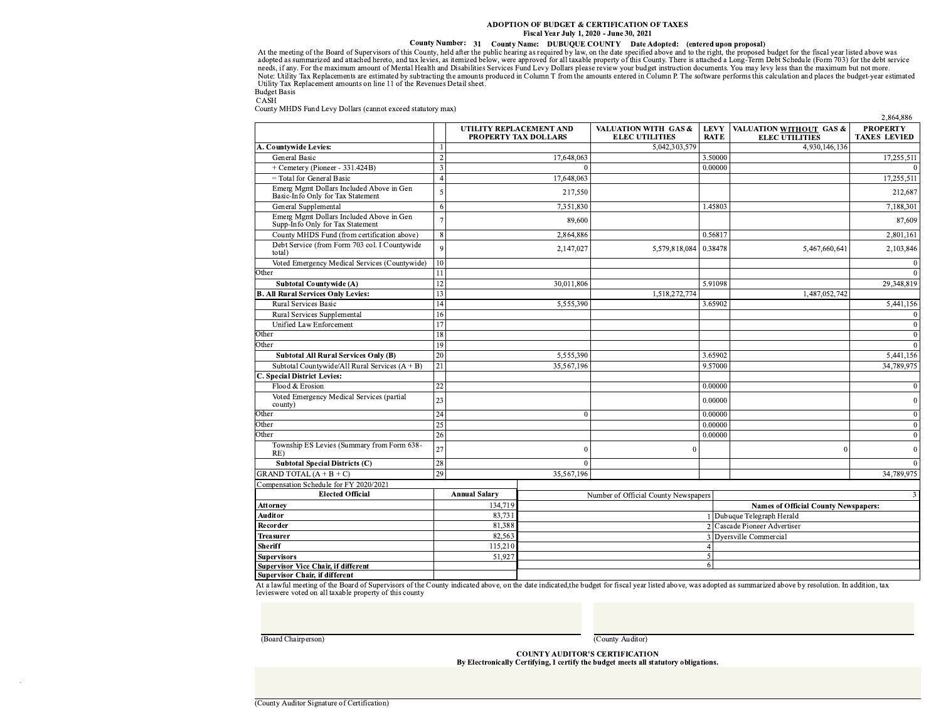### ADOPTION OF BUDGET & CERTIFICATION OF TAXES Fiscal Year July 1, 2020 - June 30, 2021

Fiscal Real Fourty 1, 2020 - June 30, 2021<br>
At the meeting of the Board of Supervisors of this County, held after the public hearing as required by law, on the date specified above and to the right, the proposed budget for **Budget Basis** 

CASH

County MHDS Fund Levy Dollars (cannot exceed statutory max)

|                                                                               |                |                                                 |            |                                               |                            |                                                  | 2,864,886                              |
|-------------------------------------------------------------------------------|----------------|-------------------------------------------------|------------|-----------------------------------------------|----------------------------|--------------------------------------------------|----------------------------------------|
|                                                                               |                | UTILITY REPLACEMENT AND<br>PROPERTY TAX DOLLARS |            | VALUATION WITH GAS &<br><b>ELEC UTILITIES</b> | <b>LEVY</b><br><b>RATE</b> | VALUATION WITHOUT GAS &<br><b>ELEC UTILITIES</b> | <b>PROPERTY</b><br><b>TAXES LEVIED</b> |
| A. Countywide Levies:                                                         |                |                                                 |            | 5,042,303,579                                 |                            | 4,930,146,136                                    |                                        |
| General Basic                                                                 | $\overline{2}$ |                                                 | 17,648,063 |                                               | 3.50000                    |                                                  | 17,255,511                             |
| + Cemetery (Pioneer - 331.424B)                                               | $\overline{3}$ |                                                 |            |                                               | 0.00000                    |                                                  | $\overline{0}$                         |
| $=$ Total for General Basic                                                   | $\overline{4}$ |                                                 | 17,648,063 |                                               |                            |                                                  | 17,255,511                             |
| Emerg Mgmt Dollars Included Above in Gen<br>Basic-Info Only for Tax Statement | 5              |                                                 | 217,550    |                                               |                            |                                                  | 212,687                                |
| General Supplemental                                                          | 6              |                                                 | 7,351,830  |                                               | 1.45803                    |                                                  | 7,188,301                              |
| Emerg Mgmt Dollars Included Above in Gen<br>Supp-Info Only for Tax Statement  | $\overline{7}$ |                                                 | 89,600     |                                               |                            |                                                  | 87,609                                 |
| County MHDS Fund (from certification above)                                   | 8              |                                                 | 2,864,886  |                                               | 0.56817                    |                                                  | 2,801,161                              |
| Debt Service (from Form 703 col. I Countywide<br>total)                       | $\overline{Q}$ |                                                 | 2,147,027  | 5,579,818,084 0.38478                         |                            | 5,467,660,641                                    | 2,103,846                              |
| Voted Emergency Medical Services (Countywide)                                 | 10             |                                                 |            |                                               |                            |                                                  | $\overline{0}$                         |
| Other                                                                         | 11             |                                                 |            |                                               |                            |                                                  | $\overline{0}$                         |
| <b>Subtotal Countywide (A)</b>                                                | 12             |                                                 | 30,011,806 |                                               | 5.91098                    |                                                  | 29,348,819                             |
| <b>B. All Rural Services Only Levies:</b>                                     | 13             |                                                 |            | 1,518,272,774                                 |                            | 1,487,052,742                                    |                                        |
| Rural Services Basic                                                          | 14             |                                                 | 5,555,390  |                                               | 3.65902                    |                                                  | 5,441,156                              |
| Rural Services Supplemental                                                   | 16             |                                                 |            |                                               |                            |                                                  | $\vert$ 0                              |
| Unified Law Enforcement                                                       | 17             |                                                 |            |                                               |                            |                                                  | $\overline{0}$                         |
| Other                                                                         | 18             |                                                 |            |                                               |                            |                                                  | $\overline{0}$                         |
| Other                                                                         | 19             |                                                 |            |                                               |                            |                                                  | $\overline{0}$                         |
| <b>Subtotal All Rural Services Only (B)</b>                                   | 20             |                                                 | 5,555,390  |                                               | 3.65902                    |                                                  | 5,441,156                              |
| Subtotal Countywide/All Rural Services $(A + B)$                              | 21             |                                                 | 35,567,196 |                                               | 9.57000                    |                                                  | 34,789,975                             |
| C. Special District Levies:                                                   |                |                                                 |            |                                               |                            |                                                  |                                        |
| Flood & Erosion                                                               | 22             |                                                 |            |                                               | 0.00000                    |                                                  | $\overline{0}$                         |
| Voted Emergency Medical Services (partial<br>county)                          | 23             |                                                 |            |                                               | 0.00000                    |                                                  | $\overline{0}$                         |
| Other                                                                         | 24             |                                                 | $\Omega$   |                                               | 0.00000                    |                                                  | $\overline{0}$                         |
| Other                                                                         | 25             |                                                 |            |                                               | 0.00000                    |                                                  | $\overline{0}$                         |
| Other                                                                         | 26             |                                                 |            |                                               | 0.00000                    |                                                  | $\overline{0}$                         |
| Township ES Levies (Summary from Form 638-<br>RE)                             | 27             |                                                 |            | 0                                             |                            | $\Omega$                                         | $\overline{0}$                         |
| <b>Subtotal Special Districts (C)</b>                                         | 28             |                                                 | $\Omega$   |                                               |                            |                                                  | $\overline{0}$                         |
| GRAND TOTAL $(A + B + C)$                                                     | 29             |                                                 | 35,567,196 |                                               |                            |                                                  | 34,789,975                             |
| Compensation Schedule for FY 2020/2021                                        |                |                                                 |            |                                               |                            |                                                  |                                        |
| <b>Elected Official</b>                                                       |                | <b>Annual Salary</b>                            |            | Number of Official County Newspapers          |                            |                                                  | 3                                      |
| <b>Attorney</b>                                                               |                | 134,719                                         |            |                                               |                            | <b>Names of Official County Newspapers:</b>      |                                        |
| Auditor                                                                       |                | 83,731                                          |            |                                               |                            | Dubuque Telegraph Herald                         |                                        |
| Recorder                                                                      |                | 81,388                                          |            |                                               |                            | 2 Cascade Pioneer Advertiser                     |                                        |
| <b>Treasurer</b>                                                              |                | 82,563                                          |            |                                               |                            | Dyersville Commercial                            |                                        |
| Sheriff                                                                       |                | 115,210                                         |            |                                               |                            |                                                  |                                        |
| <b>Supervisors</b>                                                            |                | 51,927                                          |            |                                               |                            |                                                  |                                        |
| <b>Supervisor Vice Chair, if different</b>                                    |                |                                                 |            |                                               | 6                          |                                                  |                                        |
| Supervisor Chair, if different                                                |                |                                                 |            |                                               |                            |                                                  |                                        |

At a lawful meeting of the Board of Supervisors of the County indicated above, on the date indicated, the budget for fiscal year listed above, was adopted as summarized above by resolution. In addition, tax levieswere vote

(Board Chairperson)

(County Auditor)

**COUNTY AUDITOR'S CERTIFICATION** By Electronically Certifying, I certify the budget meets all statutory obligations.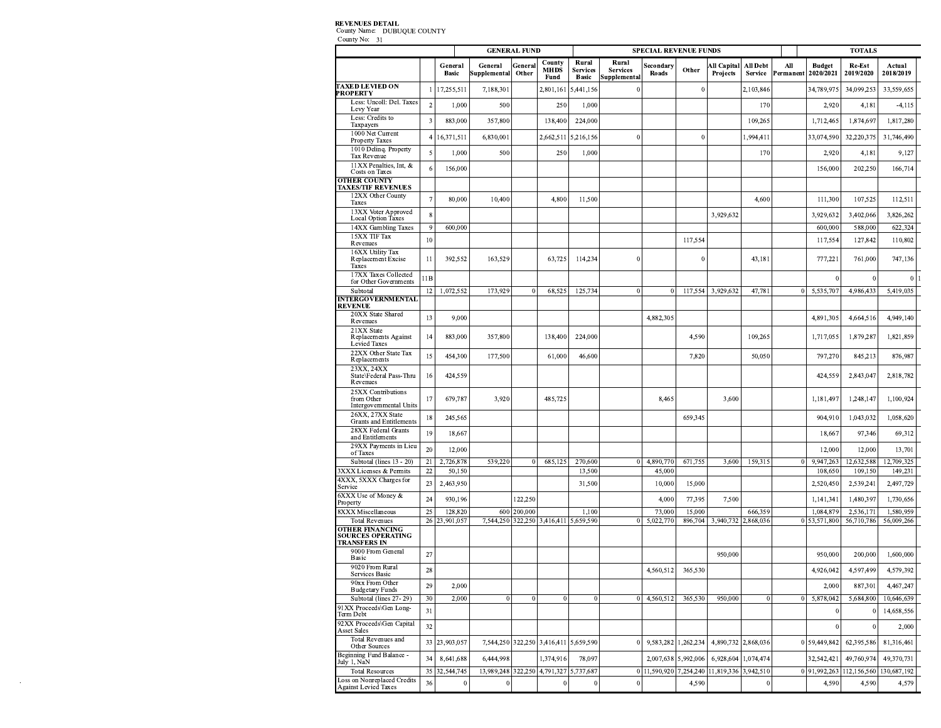### **REVENUES DETAIL**

 $\mathcal{L}^{\text{max}}_{\text{max}}$ 

County Name: DUBUQUE COUNTY<br>County No: 31

|                                                                           |                          |                          |                         | <b>GENERAL FUND</b> |                               |                                          |                                          | <b>SPECIAL REVENUE FUNDS</b> |                     |                         |                            |                  |                            | <b>TOTALS</b>           |                         |  |
|---------------------------------------------------------------------------|--------------------------|--------------------------|-------------------------|---------------------|-------------------------------|------------------------------------------|------------------------------------------|------------------------------|---------------------|-------------------------|----------------------------|------------------|----------------------------|-------------------------|-------------------------|--|
|                                                                           |                          | General<br><b>Basic</b>  | General<br>Supplemental | General<br>Other    | County<br><b>MHDS</b><br>Fund | Rural<br><b>Services</b><br><b>Basic</b> | Rural<br><b>Services</b><br>Supplemental | Secondary<br>Roads           | Other               | All Capital<br>Projects | All Debt<br><b>Service</b> | All<br>Permanent | <b>Budget</b><br>2020/2021 | Re-Est<br>2019/2020     | Actual<br>2018/2019     |  |
| <b>TAXED LEVIED ON</b><br><b>PROPERTY</b>                                 |                          | 17,255,511               | 7,188,301               |                     | 2,801,161                     | 5,441,156                                |                                          |                              | $\mathbf{0}$        |                         | 2,103,846                  |                  | 34,789,975                 | 34,099,253              | 33,559,655              |  |
| Less: Uncoll: Del. Taxes<br>Levy Year                                     | $\overline{2}$           | 1,000                    | 500                     |                     | 250                           | 1,000                                    |                                          |                              |                     |                         | 170                        |                  | 2,920                      | 4,181                   | $-4,115$                |  |
| Less: Credits to<br>Taxpayers                                             | 3                        | 883,000                  | 357,800                 |                     | 138,400                       | 224,000                                  |                                          |                              |                     |                         | 109,265                    |                  | 1,712,465                  | 1,874,697               | 1,817,280               |  |
| 1000 Net Current<br><b>Property Taxes</b>                                 |                          | 16,371,511               | 6,830,001               |                     | 2,662,511                     | 5,216,156                                | $\epsilon$                               |                              | $\mathbf{0}$        |                         | 1,994,411                  |                  | 33,074,590                 | 32,220,375              | 31,746,490              |  |
| 1010 Delinq. Property<br>Tax Revenue                                      | 5                        | 1,000                    | 500                     |                     | 250                           | 1,000                                    |                                          |                              |                     |                         | 170                        |                  | 2,920                      | 4,181                   | 9,127                   |  |
| 11XX Penalties, Int, &<br><b>Costs on Taxes</b>                           | 6                        | 156,000                  |                         |                     |                               |                                          |                                          |                              |                     |                         |                            |                  | 156,000                    | 202,250                 | 166,714                 |  |
| <b>OTHER COUNTY</b><br><b>TAXES/TIF REVENUES</b>                          |                          |                          |                         |                     |                               |                                          |                                          |                              |                     |                         |                            |                  |                            |                         |                         |  |
| 12XX Other County<br>Taxes                                                | $\overline{\phantom{a}}$ | 80,000                   | 10,400                  |                     | 4,800                         | 11,500                                   |                                          |                              |                     |                         | 4,600                      |                  | 111,300                    | 107,525                 | 112,511                 |  |
| 13XX Voter Approved<br><b>Local Option Taxes</b>                          | 8                        |                          |                         |                     |                               |                                          |                                          |                              |                     | 3,929,632               |                            |                  | 3,929,632                  | 3,402,066               | 3,826,262               |  |
| 14XX Gambling Taxes                                                       | 9                        | 600,000                  |                         |                     |                               |                                          |                                          |                              |                     |                         |                            |                  | 600,000                    | 588,000                 | 622,324                 |  |
| 15XX TIF Tax<br>Revenues                                                  | 10                       |                          |                         |                     |                               |                                          |                                          |                              | 117,554             |                         |                            |                  | 117,554                    | 127,842                 | 110,802                 |  |
| 16XX Utility Tax<br>Replacement Excise<br>Taxes                           | 11                       | 392,552                  | 163,529                 |                     | 63,725                        | 114,234                                  | C                                        |                              | 0                   |                         | 43,181                     |                  | 777,221                    | 761,000                 | 747,136                 |  |
| 17XX Taxes Collected<br>for Other Governments                             | 11B                      |                          |                         |                     |                               |                                          |                                          |                              |                     |                         |                            |                  | $\theta$                   |                         | $\theta$                |  |
| Subtotal<br><b>INTERGOVERNMENTAL</b>                                      | 12                       | 1,072,552                | 173,929                 | $\theta$            | 68,52:                        | 125,734                                  |                                          | $\bf{0}$                     | 117,554             | 3,929,632               | 47,781                     | $\Omega$         | 5,535,707                  | 4,986,43                | 5,419,035               |  |
| <b>REVENUE</b>                                                            |                          |                          |                         |                     |                               |                                          |                                          |                              |                     |                         |                            |                  |                            |                         |                         |  |
| 20XX State Shared<br>Revenues                                             | 13                       | 9,000                    |                         |                     |                               |                                          |                                          | 4,882,305                    |                     |                         |                            |                  | 4,891,305                  | 4,664,516               | 4,949,140               |  |
| 21XX State<br><b>Replacements Against</b><br><b>Levied Taxes</b>          | 14                       | 883,000                  | 357,800                 |                     | 138,400                       | 224,000                                  |                                          |                              | 4,590               |                         | 109,265                    |                  | 1,717,055                  | 1,879,287               | 1,821,859               |  |
| 22XX Other State Tax<br>Replacements                                      | 15                       | 454,300                  | 177,500                 |                     | 61,000                        | 46,600                                   |                                          |                              | 7,820               |                         | 50,050                     |                  | 797,270                    | 845,213                 | 876,987                 |  |
| 23XX, 24XX<br>State\Federal Pass-Thru<br>Revenues                         | 16                       | 424,559                  |                         |                     |                               |                                          |                                          |                              |                     |                         |                            |                  | 424,559                    | 2,843,047               | 2,818,782               |  |
| 25XX Contributions<br>from Other<br>Intergovernmental Units               | 17                       | 679,787                  | 3,920                   |                     | 485,725                       |                                          |                                          | 8,465                        |                     | 3,600                   |                            |                  | 1,181,497                  | 1,248,147               | 1,100,924               |  |
| 26XX, 27XX State<br><b>Grants and Entitlements</b>                        | 18                       | 245,565                  |                         |                     |                               |                                          |                                          |                              | 659,345             |                         |                            |                  | 904,910                    | 1,043,032               | 1,058,620               |  |
| 28XX Federal Grants<br>and Entitlements                                   | 19                       | 18,667                   |                         |                     |                               |                                          |                                          |                              |                     |                         |                            |                  | 18,667                     | 97,346                  | 69,312                  |  |
| 29XX Payments in Lieu<br>of Taxes                                         | 20                       | 12,000                   |                         |                     |                               |                                          |                                          |                              |                     |                         |                            |                  | 12,000                     | 12,000                  | 13,701                  |  |
| Subtotal (lines 13 - 20)                                                  | 21                       | 2,726,878                | 539,220                 | $\mathbf{0}$        | 685,125                       | 270,600                                  |                                          | 4,890,770                    | 671,755             | 3,600                   | 159,315                    | $\mathbf{0}$     | 9,947,263                  | 12,632,588              | 12,709,325              |  |
| 3XXX Licenses & Permits<br>4XXX, 5XXX Charges for                         | 22                       | 50,150                   |                         |                     |                               | 13,500                                   |                                          | 45,000                       |                     |                         |                            |                  | 108,650                    | 109,150                 | 149,231                 |  |
| Service<br>6XXX Use of Money &                                            | 23                       | 2,463,950                |                         |                     |                               | 31,500                                   |                                          | 10,000                       | 15,000              |                         |                            |                  | 2,520,450                  | 2,539,241               | 2,497,729               |  |
| Property                                                                  | 24                       | 930,196                  |                         | 122,250             |                               |                                          |                                          | 4,000                        | 77,395              | 7,500                   |                            |                  | 1,141,341                  | 1,480,397               | 1,730,656               |  |
| <b>SXXX Miscellaneous</b><br><b>Total Revenues</b>                        | 25                       | 128,820<br>26 23,901,057 | 600<br>7,544,250        | 200,000             | 322,250 3,416,411 5,659,590   | 1,100                                    |                                          | 73,000<br>5,022,770          | 15,000<br>896,704   | 3,940,732               | 666,359<br>2,868,036       | $\mathbf{0}$     | 1,084,879<br>53,571,800    | 2,536,171<br>56,710,786 | 1,580,959<br>56,009,266 |  |
| <b>OTHER FINANCING</b><br><b>SOURCES OPERATING</b><br><b>TRANSFERS IN</b> |                          |                          |                         |                     |                               |                                          |                                          |                              |                     |                         |                            |                  |                            |                         |                         |  |
| 9000 From General<br>Basic                                                | 27                       |                          |                         |                     |                               |                                          |                                          |                              |                     | 950,000                 |                            |                  | 950,000                    | 200,000                 | 1,600,000               |  |
| 9020 From Rural<br>Services Basic                                         | 28                       |                          |                         |                     |                               |                                          |                                          | 4,560,512                    | 365,530             |                         |                            |                  | 4,926,042                  | 4,597,499               | 4,579,392               |  |
| 90xx From Other<br><b>Budgetary Funds</b>                                 | 29                       | 2,000                    |                         |                     |                               |                                          |                                          |                              |                     |                         |                            |                  | 2,000                      | 887,301                 | 4,467,247               |  |
| Subtotal (lines 27-29)                                                    | 30                       | 2,000                    | $\theta$                | $\mathbf{0}$        | $\Omega$                      | $\Omega$                                 | C                                        | 4,560,512                    | 365,530             | 950,000                 | $\Omega$                   | $\Omega$         | 5,878,042                  | 5,684,800               | 10,646,639              |  |
| 91XX Proceeds\Gen Long-<br>Term Debt                                      | 31                       |                          |                         |                     |                               |                                          |                                          |                              |                     |                         |                            |                  | $\bf{0}$                   |                         | 14,658,556              |  |
| 92XX Proceeds\Gen Capital<br><b>Asset Sales</b>                           | 32                       |                          |                         |                     |                               |                                          |                                          |                              |                     |                         |                            |                  | $\theta$                   |                         | 2,000                   |  |
| Total Revenues and<br>Other Sources                                       | 33                       | 23,903,057               |                         |                     | 7,544,250 322,250 3,416,411   | 5,659,590                                | $\epsilon$                               |                              | 9,583,282 1,262,234 |                         | 4,890,732 2,868,036        | $\Omega$         | 59,449,842                 | 62,395,586              | 81,316,461              |  |
| Beginning Fund Balance -<br>July 1, NaN                                   | 34                       | 8,641,688                | 6,444,998               |                     | 1,374,916                     | 78,097                                   |                                          | 2,007,638                    | 5,992,006           | 6,928,604               | 1,074,474                  |                  | 32,542,421                 | 49,760,974              | 49,370,731              |  |
| <b>Total Resources</b><br>Loss on Nonreplaced Credits                     | 35                       | 32,544,745               | 13,989,248              |                     | 322,250 4,791,327             | 5,737,687                                | $\bf{0}$                                 | 11,590,920                   | 7,254,240           | 11,819,336 3,942,510    |                            |                  | 0 91.992.263               | 112,156,560             | 130,687,192             |  |
| Against Levied Taxes                                                      | 36                       | $\theta$                 |                         |                     |                               | 0                                        |                                          |                              | 4,590               |                         | $\Omega$                   |                  | 4,590                      | 4,590                   | 4,579                   |  |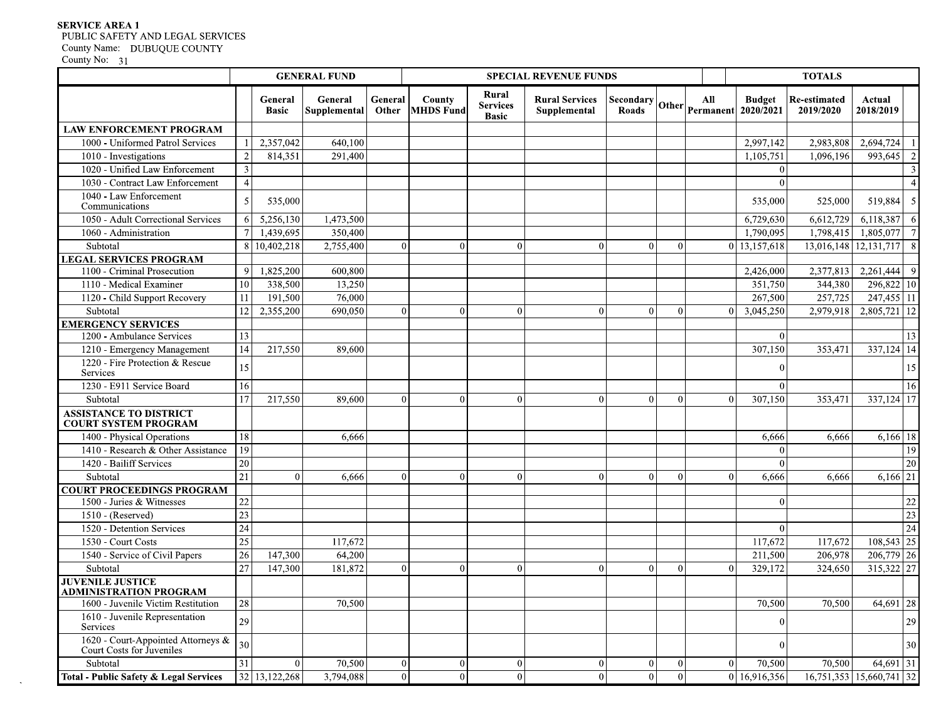# SERVICE AREA 1 PUBLIC SAFETY AND LEGAL SERVICES

| County No: | 31 |
|------------|----|
|------------|----|

| County No: 31                                                   |                         |                         | <b>GENERAL FUND</b>     |                  |                            |                                          | <b>SPECIAL REVENUE FUNDS</b>          |                                               |              |          |                            | <b>TOTALS</b>             |                             |
|-----------------------------------------------------------------|-------------------------|-------------------------|-------------------------|------------------|----------------------------|------------------------------------------|---------------------------------------|-----------------------------------------------|--------------|----------|----------------------------|---------------------------|-----------------------------|
|                                                                 |                         | General<br><b>Basic</b> | General<br>Supplemental | General<br>Other | County<br><b>MHDS Fund</b> | Rural<br><b>Services</b><br><b>Basic</b> | <b>Rural Services</b><br>Supplemental | $ {\rm Secondary} $ Other $ {\rm permanent} $ |              |          | <b>Budget</b><br>2020/2021 | Re-estimated<br>2019/2020 | Actual<br>2018/2019         |
| <b>LAW ENFORCEMENT PROGRAM</b>                                  |                         |                         |                         |                  |                            |                                          |                                       |                                               |              |          |                            |                           |                             |
| 1000 - Uniformed Patrol Services                                |                         | 2,357,042               | 640,100                 |                  |                            |                                          |                                       |                                               |              |          | 2,997,142                  | 2,983,808                 | 2,694,724                   |
| $\overline{1010}$ - Investigations                              | $\overline{2}$          | 814,351                 | 291,400                 |                  |                            |                                          |                                       |                                               |              |          | 1,105,751                  | 1,096,196                 | 993,645                     |
| 1020 - Unified Law Enforcement                                  | $\overline{\mathbf{3}}$ |                         |                         |                  |                            |                                          |                                       |                                               |              |          | $\Omega$                   |                           |                             |
| 1030 - Contract Law Enforcement                                 | $\overline{4}$          |                         |                         |                  |                            |                                          |                                       |                                               |              |          | $\Omega$                   |                           |                             |
| 1040 - Law Enforcement                                          | -5                      | 535,000                 |                         |                  |                            |                                          |                                       |                                               |              |          | 535,000                    | 525,000                   | 519,884                     |
| Communications                                                  |                         |                         |                         |                  |                            |                                          |                                       |                                               |              |          |                            |                           |                             |
| 1050 - Adult Correctional Services                              | -61                     | 5,256,130               | 1,473,500               |                  |                            |                                          |                                       |                                               |              |          | 6,729,630                  | 6,612,729                 | 6,118,387                   |
| 1060 - Administration                                           |                         | 1,439,695               | 350,400                 |                  |                            |                                          |                                       |                                               |              |          | 1,790,095                  | 1,798,415                 | 1,805,077                   |
| Subtotal                                                        |                         | 8 10,402,218            | 2,755,400               | $\Omega$         | $\Omega$                   |                                          | $\Omega$                              |                                               | $\theta$     |          | 0 13,157,618               |                           | 13,016,148 12,131,717       |
| <b>LEGAL SERVICES PROGRAM</b>                                   |                         |                         |                         |                  |                            |                                          |                                       |                                               |              |          |                            |                           | 2,261,444                   |
| 1100 - Criminal Prosecution<br>1110 - Medical Examiner          | $\overline{9}$<br>10    | 1,825,200<br>338,500    | 600,800<br>13,250       |                  |                            |                                          |                                       |                                               |              |          | 2,426,000<br>351,750       | 2,377,813<br>344,380      | 296,822 10                  |
| 1120 - Child Support Recovery                                   | 11                      | 191,500                 | 76,000                  |                  |                            |                                          |                                       |                                               |              |          | 267,500                    | 257,725                   | 247,455 11                  |
| Subtotal                                                        | 12                      | 2,355,200               | 690,050                 | $^{\circ}$       | ∩                          |                                          | $\Omega$                              |                                               | $\Omega$     |          | 3,045,250                  | 2,979,918                 | 2,805,721<br>12             |
| <b>EMERGENCY SERVICES</b>                                       |                         |                         |                         |                  |                            |                                          |                                       |                                               |              |          |                            |                           |                             |
| 1200 - Ambulance Services                                       | 13                      |                         |                         |                  |                            |                                          |                                       |                                               |              |          | $\mathbf{0}$               |                           | 13                          |
| 1210 - Emergency Management                                     | $\overline{14}$         | 217,550                 | 89,600                  |                  |                            |                                          |                                       |                                               |              |          | 307,150                    | 353,471                   | $337,124$ 14                |
| 1220 - Fire Protection & Rescue<br>Services                     | 15                      |                         |                         |                  |                            |                                          |                                       |                                               |              |          | $\mathbf{0}$               |                           | 15                          |
| 1230 - E911 Service Board                                       | 16                      |                         |                         |                  |                            |                                          |                                       |                                               |              |          | $\Omega$                   |                           | 16                          |
| Subtotal                                                        | 17                      | 217,550                 | 89,600                  | $\Omega$         | $\Omega$                   |                                          | $\Omega$                              |                                               | $\theta$     | $\Omega$ | 307,150                    | 353,471                   | 337,124 17                  |
| <b>ASSISTANCE TO DISTRICT</b><br><b>COURT SYSTEM PROGRAM</b>    |                         |                         |                         |                  |                            |                                          |                                       |                                               |              |          |                            |                           |                             |
| 1400 - Physical Operations                                      | 18                      |                         | 6,666                   |                  |                            |                                          |                                       |                                               |              |          | 6,666                      | 6,666                     | 6,166 18                    |
| 1410 - Research & Other Assistance                              | 19                      |                         |                         |                  |                            |                                          |                                       |                                               |              |          | $\Omega$                   |                           | 19                          |
| 1420 - Bailiff Services                                         | 20                      |                         |                         |                  |                            |                                          |                                       |                                               |              |          | $\bf{0}$                   |                           | ZU                          |
| Subtotal                                                        | 21                      | $\Omega$                | 6,666                   | $\Omega$         | $\Omega$                   |                                          | $\Omega$                              |                                               | $\Omega$     | ∩        | 6,666                      | 6,666                     | 6,166 21                    |
| <b>COURT PROCEEDINGS PROGRAM</b>                                |                         |                         |                         |                  |                            |                                          |                                       |                                               |              |          |                            |                           |                             |
| 1500 - Juries & Witnesses                                       | $22\,$                  |                         |                         |                  |                            |                                          |                                       |                                               |              |          | $\theta$                   |                           | $22\,$                      |
| 1510 - (Reserved)                                               | 23                      |                         |                         |                  |                            |                                          |                                       |                                               |              |          |                            |                           | $\overline{23}$             |
| 1520 - Detention Services                                       | $24\,$                  |                         |                         |                  |                            |                                          |                                       |                                               |              |          | $\theta$                   |                           | 24                          |
| 1530 - Court Costs                                              | 25                      |                         | 117,672                 |                  |                            |                                          |                                       |                                               |              |          | 117,672                    | 117,672                   | 108,543 25                  |
| 1540 - Service of Civil Papers                                  | $\overline{26}$         | 147,300                 | 64,200                  |                  |                            |                                          |                                       |                                               |              |          | 211,500                    | 206,978                   | 206,779 26                  |
| Subtotal                                                        | 27                      | 147,300                 | 181,872                 | $\theta$         | $\Omega$                   |                                          | $\Omega$                              | ∩                                             | $\Omega$     | $\Omega$ | 329,172                    | 324,650                   | 315,322 27                  |
| <b>JUVENILE JUSTICE</b><br><b>ADMINISTRATION PROGRAM</b>        |                         |                         |                         |                  |                            |                                          |                                       |                                               |              |          |                            |                           |                             |
| 1600 - Juvenile Victim Restitution                              | 28                      |                         | 70,500                  |                  |                            |                                          |                                       |                                               |              |          | 70,500                     | 70,500                    | 64,691<br>28                |
| 1610 - Juvenile Representation<br>Services                      | 29                      |                         |                         |                  |                            |                                          |                                       |                                               |              |          | $\mathbf{0}$               |                           | 29                          |
| 1620 - Court-Appointed Attorneys &<br>Court Costs for Juveniles | 30                      |                         |                         |                  |                            |                                          |                                       |                                               |              |          | $\theta$                   |                           | 30 <sup>1</sup>             |
| Subtotal                                                        | 31                      | $\Omega$                | 70,500                  | $\overline{0}$   | $\vert$ 0                  | $\Omega$                                 | $\Omega$                              | $\overline{0}$                                | $\mathbf{0}$ | $\Omega$ | 70,500                     | 70,500                    | 64,691 31                   |
| Total - Public Safety & Legal Services                          |                         | 32 13,122,268           | 3,794,088               | $\Omega$         | $\Omega$                   |                                          | $\Omega$                              | $\Omega$                                      | $\Omega$     | ΩI       | 16,916,356                 |                           | 16,751,353 15,660,741<br>32 |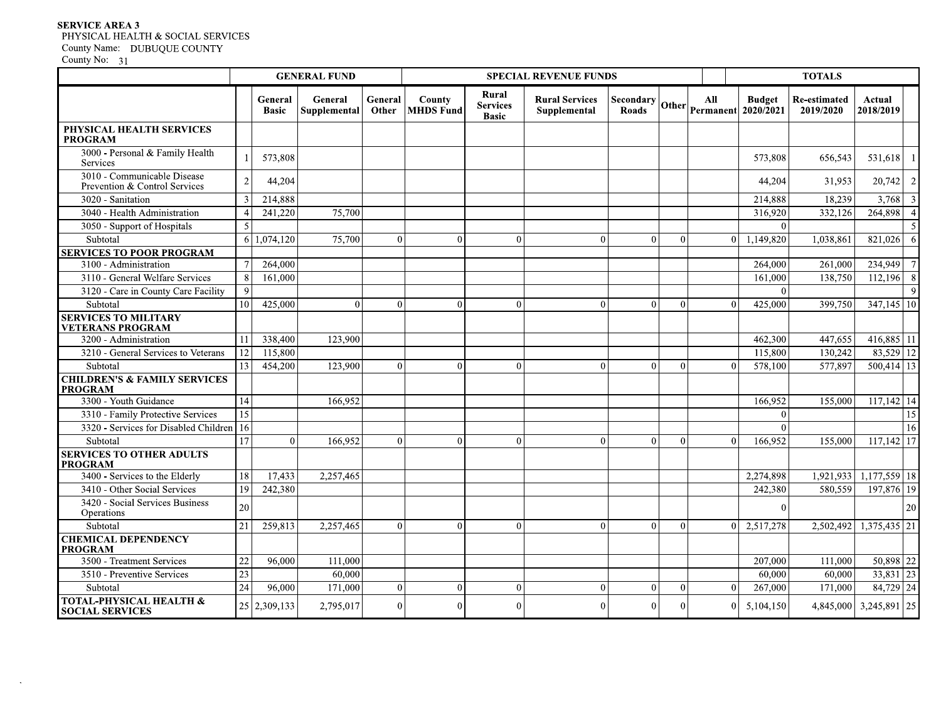# SERVICE AREA 3 PHYSICAL HEALTH & SOCIAL SERVICES

| County No: 31                                                              |                 |                         | <b>GENERAL FUND</b>     |                  |                            |                          | <b>SPECIAL REVENUE FUNDS</b>          |                           |          |                |                                                                                  | <b>TOTALS</b>                    |                        |
|----------------------------------------------------------------------------|-----------------|-------------------------|-------------------------|------------------|----------------------------|--------------------------|---------------------------------------|---------------------------|----------|----------------|----------------------------------------------------------------------------------|----------------------------------|------------------------|
|                                                                            |                 | General<br><b>Basic</b> | General<br>Supplemental | General<br>Other | County<br><b>MHDS</b> Fund | Rural<br><b>Services</b> | <b>Rural Services</b><br>Supplemental | <b>Secondary</b><br>Roads |          | All            | <b>Budget</b><br>$\left \text{Other}\right  \text{Permannent} \right  2020/2021$ | <b>Re-estimated</b><br>2019/2020 | Actual<br>2018/2019    |
| PHYSICAL HEALTH SERVICES<br><b>PROGRAM</b>                                 |                 |                         |                         |                  |                            | <b>Basic</b>             |                                       |                           |          |                |                                                                                  |                                  |                        |
| 3000 - Personal & Family Health<br>Services                                |                 | 573,808                 |                         |                  |                            |                          |                                       |                           |          |                | 573,808                                                                          | 656,543                          | 531,618                |
| 3010 - Communicable Disease<br>Prevention & Control Services               | 2               | 44,204                  |                         |                  |                            |                          |                                       |                           |          |                | 44,204                                                                           | 31,953                           | 20,742                 |
| 3020 - Sanitation<br>3040 - Health Administration                          | 3               | 214,888<br>241,220      | 75,700                  |                  |                            |                          |                                       |                           |          |                | 214,888<br>316,920                                                               | 18,239<br>332,126                | 3,768<br>264,898       |
| 3050 - Support of Hospitals<br>Subtotal                                    | 5               | 6 1,074,120             | 75,700                  | $\Omega$         | $\Omega$                   | $\Omega$                 | $\Omega$                              | $\Omega$                  |          |                | $\Omega$<br>$0 \mid 1,149,820$                                                   | 1,038,861                        | 821,026                |
| <b>SERVICES TO POOR PROGRAM</b>                                            |                 |                         |                         |                  |                            |                          |                                       |                           |          |                |                                                                                  |                                  |                        |
| 3100 - Administration<br>3110 - General Welfare Services                   | 8 <sup>l</sup>  | 264,000<br>161,000      |                         |                  |                            |                          |                                       |                           |          |                | 264,000<br>161,000                                                               | 261,000<br>138,750               | 234,949                |
| 3120 - Care in County Care Facility                                        | $\overline{9}$  |                         |                         |                  |                            |                          |                                       |                           |          |                | $\Omega$                                                                         |                                  | 112,196                |
| Subtotal                                                                   | 10              | 425,000                 | $\Omega$                | $\Omega$         | $\Omega$                   | $\Omega$                 | $\Omega$                              | $\Omega$                  | $\Omega$ | $\Omega$       | 425,000                                                                          | 399,750                          | $347,145$ 10           |
| <b>SERVICES TO MILITARY</b><br><b>VETERANS PROGRAM</b>                     |                 |                         |                         |                  |                            |                          |                                       |                           |          |                |                                                                                  |                                  |                        |
| 3200 - Administration                                                      | 11              | 338,400                 | 123,900                 |                  |                            |                          |                                       |                           |          |                | 462,300                                                                          | 447,655                          | $416,885$ 11           |
| 3210 - General Services to Veterans                                        | 12              | 115,800                 |                         |                  |                            |                          |                                       |                           |          |                | 115,800                                                                          | 130,242                          | 83,529 12              |
| Subtotal                                                                   | 13              | 454,200                 | 123,900                 | $\Omega$         | $\Omega$                   | $\Omega$                 | $\Omega$                              | $\Omega$                  | $\Omega$ | $\Omega$       | 578,100                                                                          | 577,897                          | $500,414$ 13           |
| <b>CHILDREN'S &amp; FAMILY SERVICES</b><br><b>PROGRAM</b>                  |                 |                         |                         |                  |                            |                          |                                       |                           |          |                |                                                                                  |                                  |                        |
| 3300 - Youth Guidance                                                      | 14              |                         | 166,952                 |                  |                            |                          |                                       |                           |          |                | 166,952                                                                          | 155,000                          | $117,142$ 14<br>15     |
| 3310 - Family Protective Services<br>3320 - Services for Disabled Children | 15<br>16        |                         |                         |                  |                            |                          |                                       |                           |          |                | $\theta$<br>$\Omega$                                                             |                                  | 16                     |
| Subtotal                                                                   | 17              | $\Omega$                | 166,952                 | $\Omega$         | $\Omega$                   | $\Omega$                 | $\Omega$                              | $\Omega$                  | 0        | $\Omega$       | 166,952                                                                          | 155,000                          | 117,142<br>-17         |
| <b>SERVICES TO OTHER ADULTS</b><br><b>PROGRAM</b>                          |                 |                         |                         |                  |                            |                          |                                       |                           |          |                |                                                                                  |                                  |                        |
| 3400 - Services to the Elderly                                             | 18              | 17,433                  | 2,257,465               |                  |                            |                          |                                       |                           |          |                | 2,274,898                                                                        |                                  | 1,921,933 1,177,559 18 |
| 3410 - Other Social Services                                               | 19              | 242,380                 |                         |                  |                            |                          |                                       |                           |          |                | 242,380                                                                          | 580,559                          | 197,876 19             |
| 3420 - Social Services Business<br>Operations                              | 20              |                         |                         |                  |                            |                          |                                       |                           |          |                | $\Omega$                                                                         |                                  |                        |
| Subtotal<br><b>CHEMICAL DEPENDENCY</b>                                     | 21              | 259,813                 | 2,257,465               | $\overline{0}$   | $\overline{0}$             | $\Omega$                 | $\Omega$                              | $\Omega$                  | $\Omega$ |                | 0 2,517,278                                                                      |                                  | 2,502,492 1,375,435 21 |
| <b>PROGRAM</b><br>3500 - Treatment Services                                | $22\,$          | 96,000                  | 111,000                 |                  |                            |                          |                                       |                           |          |                | 207,000                                                                          | 111,000                          | 50,898 22              |
| 3510 - Preventive Services                                                 | $\overline{23}$ |                         | 60,000                  |                  |                            |                          |                                       |                           |          |                | 60,000                                                                           | 60,000                           | $33,831$ 23            |
| Subtotal                                                                   | $\overline{24}$ | 96,000                  | 171,000                 | $\overline{0}$   | $\overline{0}$             | $\theta$                 |                                       | $\Omega$                  | 0        | $\overline{0}$ | 267,000                                                                          | 171,000                          | 84,729 24              |
| <b>TOTAL-PHYSICAL HEALTH &amp;</b><br><b>SOCIAL SERVICES</b>               |                 | 25 2,309,133            | 2,795,017               | $\Omega$         | $\overline{0}$             | $\Omega$                 | $\Omega$                              | $\overline{0}$            |          | $\overline{0}$ | 5,104,150                                                                        |                                  | 4,845,000 3,245,891 25 |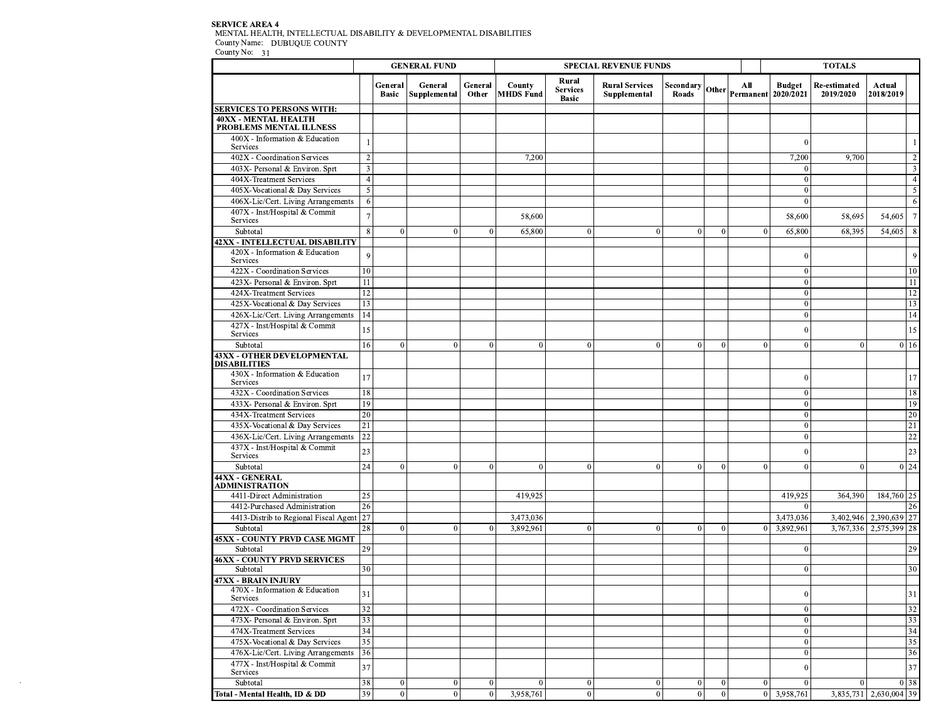# SERVICE AREA 4<br>MENTAL HEALTH, INTELLECTUAL DISABILITY & DEVELOPMENTAL DISABILITIES<br>County Name: DUBUQUE COUNTY<br>County No: 31

 $\sim 10^{11}$ 

|                                                              |                 |                         | <b>GENERAL FUND</b>     |                  |                            |                                          | <b>SPECIAL REVENUE FUNDS</b>          |                                                                                                                                |                  |                |                      | <b>TOTALS</b>                    |                           |
|--------------------------------------------------------------|-----------------|-------------------------|-------------------------|------------------|----------------------------|------------------------------------------|---------------------------------------|--------------------------------------------------------------------------------------------------------------------------------|------------------|----------------|----------------------|----------------------------------|---------------------------|
|                                                              |                 | General<br><b>Basic</b> | General<br>Supplemental | General<br>Other | County<br><b>MHDS</b> Fund | Rural<br><b>Services</b><br><b>Basic</b> | <b>Rural Services</b><br>Supplemental | $\begin{array}{c c}\n\text{Secondary} & \text{Other} \\ \hline\n\text{Poads} & \text{Other} & \text{Permanent} \\ \end{array}$ |                  |                |                      | <b>Re-estimated</b><br>2019/2020 | Actual<br>2018/2019       |
| <b>SERVICES TO PERSONS WITH:</b>                             |                 |                         |                         |                  |                            |                                          |                                       |                                                                                                                                |                  |                |                      |                                  |                           |
| <b>40XX - MENTAL HEALTH</b><br>PROBLEMS MENTAL ILLNESS       |                 |                         |                         |                  |                            |                                          |                                       |                                                                                                                                |                  |                |                      |                                  |                           |
| 400X - Information & Education<br>Services                   |                 |                         |                         |                  |                            |                                          |                                       |                                                                                                                                |                  |                | -C                   |                                  | 1                         |
| 402X - Coordination Services                                 | $\overline{2}$  |                         |                         |                  | 7,200                      |                                          |                                       |                                                                                                                                |                  |                | 7,200                | 9,700                            | $\sqrt{2}$                |
| 403X- Personal & Environ. Sprt                               | 3               |                         |                         |                  |                            |                                          |                                       |                                                                                                                                |                  |                |                      |                                  | $\mathfrak{Z}$            |
| 404X-Treatment Services                                      | $\overline{4}$  |                         |                         |                  |                            |                                          |                                       |                                                                                                                                |                  |                | C                    |                                  | $\overline{4}$            |
| 405X-Vocational & Day Services                               | 5               |                         |                         |                  |                            |                                          |                                       |                                                                                                                                |                  |                | $\Omega$             |                                  | $\sqrt{5}$                |
| 406X-Lic/Cert. Living Arrangements                           | -6              |                         |                         |                  |                            |                                          |                                       |                                                                                                                                |                  |                | $\overline{0}$       |                                  | 6                         |
| 407X - Inst/Hospital & Commit<br>Services                    | $\overline{7}$  |                         |                         |                  | 58,600                     |                                          |                                       |                                                                                                                                |                  |                | 58,600               | 58,695                           | $7\phantom{.0}$<br>54,605 |
| Subtotal                                                     | 8               | $\overline{0}$          | $\Omega$                | $\mathbf{0}$     | 65,800                     | $\vert 0 \vert$                          | $\mathbf{0}$                          | $\mathbf{0}$                                                                                                                   | $\bf{0}$         | $\overline{0}$ | 65,800               | 68,395                           | 54,605<br>8               |
| 42XX - INTELLECTUAL DISABILITY                               |                 |                         |                         |                  |                            |                                          |                                       |                                                                                                                                |                  |                |                      |                                  |                           |
| 420X - Information & Education<br>Services                   | 9               |                         |                         |                  |                            |                                          |                                       |                                                                                                                                |                  |                | C                    |                                  | 9                         |
| 422X - Coordination Services                                 | 10              |                         |                         |                  |                            |                                          |                                       |                                                                                                                                |                  |                | $\theta$             |                                  | 10                        |
| 423X- Personal & Environ. Sprt                               | 11              |                         |                         |                  |                            |                                          |                                       |                                                                                                                                |                  |                | $\theta$             |                                  | 11                        |
| 424X-Treatment Services                                      | 12              |                         |                         |                  |                            |                                          |                                       |                                                                                                                                |                  |                | $\Omega$             |                                  | 12                        |
| 425X-Vocational & Day Services                               | 13              |                         |                         |                  |                            |                                          |                                       |                                                                                                                                |                  |                | $\theta$             |                                  | 13                        |
| 426X-Lic/Cert. Living Arrangements                           | 14              |                         |                         |                  |                            |                                          |                                       |                                                                                                                                |                  |                | C                    |                                  | 14                        |
| 427X - Inst/Hospital & Commit<br>Services                    | 15              |                         |                         |                  |                            |                                          |                                       |                                                                                                                                |                  |                | $\Omega$             |                                  | 15                        |
| Subtotal                                                     | 16              | $\mathbf{0}$            | $\theta$                | $\mathbf{0}$     | $\overline{0}$             | $\overline{0}$                           | $\mathbf{0}$                          | $\mathbf{0}$                                                                                                                   | $\mathbf{0}$     | $\Omega$       | $\bf{0}$             | $\theta$                         | 0 <sub>16</sub>           |
| <b>43XX - OTHER DEVELOPMENTAL</b><br><b>DISABILITIES</b>     |                 |                         |                         |                  |                            |                                          |                                       |                                                                                                                                |                  |                |                      |                                  |                           |
| 430X - Information & Education<br>Services                   | 17              |                         |                         |                  |                            |                                          |                                       |                                                                                                                                |                  |                | $\Omega$             |                                  | 17                        |
| 432X - Coordination Services                                 | 18              |                         |                         |                  |                            |                                          |                                       |                                                                                                                                |                  |                | $\overline{0}$       |                                  | 18                        |
| 433X- Personal & Environ. Sprt                               | 19              |                         |                         |                  |                            |                                          |                                       |                                                                                                                                |                  |                | $\theta$             |                                  | 19                        |
| 434X-Treatment Services                                      | 20              |                         |                         |                  |                            |                                          |                                       |                                                                                                                                |                  |                | C                    |                                  | $\overline{20}$           |
| 435X-Vocational & Day Services                               | 21              |                         |                         |                  |                            |                                          |                                       |                                                                                                                                |                  |                | $\theta$             |                                  | 21                        |
| 436X-Lic/Cert. Living Arrangements                           | 22              |                         |                         |                  |                            |                                          |                                       |                                                                                                                                |                  |                | $\overline{0}$       |                                  | 22                        |
| 437X - Inst/Hospital & Commit<br>Services                    | 23              |                         |                         |                  |                            |                                          |                                       |                                                                                                                                |                  |                | $\overline{0}$       |                                  | 23                        |
| Subtotal                                                     | 24              | $\overline{0}$          | $\theta$                | $\mathbf{0}$     | $\theta$                   | $\Omega$                                 | $\Omega$                              | $\mathbf{0}$                                                                                                                   | $\mathbf{0}$     | $\Omega$       | $\theta$             | $\theta$                         | $0\overline{24}$          |
| 44XX - GENERAL<br><b>ADMINISTRATION</b>                      |                 |                         |                         |                  |                            |                                          |                                       |                                                                                                                                |                  |                |                      |                                  |                           |
| 4411-Direct Administration                                   | 25              |                         |                         |                  | 419,925                    |                                          |                                       |                                                                                                                                |                  |                | 419,925              | 364,390                          | 184,760 25                |
| 4412-Purchased Administration                                | 26              |                         |                         |                  |                            |                                          |                                       |                                                                                                                                |                  |                |                      |                                  | 26                        |
| 4413-Distrib to Regional Fiscal Agent                        | 27              |                         |                         |                  | 3,473,036                  |                                          |                                       |                                                                                                                                |                  |                | 3,473,036            |                                  | 3,402,946 2,390,639 27    |
| Subtotal                                                     | 28              | $\theta$                | $\theta$                | $\theta$         | 3,892,961                  | $\vert 0 \vert$                          | $\mathbf{0}$                          | $\theta$                                                                                                                       | $\mathbf{0}$     | $\overline{0}$ | 3,892,961            |                                  | 3,767,336 2,575,399<br>28 |
| <b>45XX - COUNTY PRVD CASE MGMT</b>                          |                 |                         |                         |                  |                            |                                          |                                       |                                                                                                                                |                  |                |                      |                                  |                           |
| Subtotal                                                     | 29              |                         |                         |                  |                            |                                          |                                       |                                                                                                                                |                  |                | $\theta$             |                                  | 29                        |
| <b>46XX - COUNTY PRVD SERVICES</b>                           |                 |                         |                         |                  |                            |                                          |                                       |                                                                                                                                |                  |                |                      |                                  |                           |
| Subtotal                                                     | 30              |                         |                         |                  |                            |                                          |                                       |                                                                                                                                |                  |                | $\bf{0}$             |                                  | 30                        |
| <b>47XX - BRAIN INJURY</b><br>470X - Information & Education |                 |                         |                         |                  |                            |                                          |                                       |                                                                                                                                |                  |                |                      |                                  |                           |
| Services                                                     | 31              |                         |                         |                  |                            |                                          |                                       |                                                                                                                                |                  |                | U                    |                                  | 31                        |
| 472X - Coordination Services                                 | $\overline{32}$ |                         |                         |                  |                            |                                          |                                       |                                                                                                                                |                  |                | $\bf{0}$             |                                  | 32                        |
| 473X- Personal & Environ. Sprt                               | 33<br>34        |                         |                         |                  |                            |                                          |                                       |                                                                                                                                |                  |                | $\theta$             |                                  | 33                        |
| 474X-Treatment Services<br>475X-Vocational & Day Services    | 35              |                         |                         |                  |                            |                                          |                                       |                                                                                                                                |                  |                | $\bf{0}$<br>$\Omega$ |                                  | 34                        |
| 476X-Lic/Cert. Living Arrangements                           | 36              |                         |                         |                  |                            |                                          |                                       |                                                                                                                                |                  |                | $\overline{0}$       |                                  | 35<br>36                  |
| 477X - Inst/Hospital & Commit                                |                 |                         |                         |                  |                            |                                          |                                       |                                                                                                                                |                  |                |                      |                                  |                           |
| Services                                                     | 37              |                         |                         |                  |                            |                                          |                                       |                                                                                                                                |                  |                | $\overline{0}$       |                                  | 37                        |
| Subtotal                                                     | 38              | $\bf{0}$                | $\boldsymbol{0}$        | $\bf{0}$         | $\mathbf{0}$               | $\vert$ 0                                | $\boldsymbol{0}$                      | $\bf{0}$                                                                                                                       | $\bf{0}$         | $\overline{0}$ | $\mathbf{0}$         | $\boldsymbol{0}$                 | 0 38                      |
| Total - Mental Health, ID & DD                               | 39              | $\overline{0}$          | $\mathbf{0}$            | $\mathbf{0}$     | 3,958,761                  | $\overline{0}$                           | $\overline{0}$                        | $\overline{0}$                                                                                                                 | $\boldsymbol{0}$ |                | 0 3,958,761          |                                  | 3,835,731 2,630,004 39    |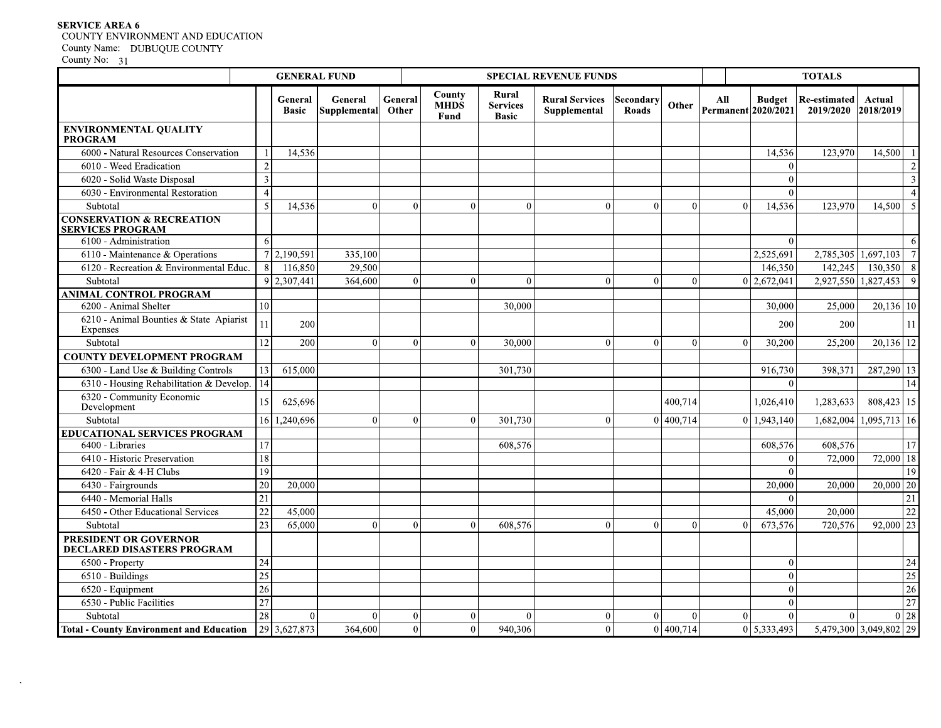# **SERVICE AREA 6** COUNTY ENVIRONMENT AND EDUCATION County Name: DUBUQUE COUNTY<br>County No: 31

 $\mathcal{L}$ 

|                                                                 |                         |                         | <b>GENERAL FUND</b>            |                  |                               |                                          | <b>SPECIAL REVENUE FUNDS</b>          |                    |                  |                            |                    | <b>TOTALS</b>                    |                        |                          |
|-----------------------------------------------------------------|-------------------------|-------------------------|--------------------------------|------------------|-------------------------------|------------------------------------------|---------------------------------------|--------------------|------------------|----------------------------|--------------------|----------------------------------|------------------------|--------------------------|
|                                                                 |                         | General<br><b>Basic</b> | General<br><b>Supplemental</b> | General<br>Other | County<br><b>MHDS</b><br>Fund | Rural<br><b>Services</b><br><b>Basic</b> | <b>Rural Services</b><br>Supplemental | Secondary<br>Roads | Other            | All<br>Permanent 2020/2021 | <b>Budget</b>      | <b>Re-estimated</b><br>2019/2020 | Actual<br>2018/2019    |                          |
| <b>ENVIRONMENTAL QUALITY</b><br><b>PROGRAM</b>                  |                         |                         |                                |                  |                               |                                          |                                       |                    |                  |                            |                    |                                  |                        |                          |
| 6000 - Natural Resources Conservation                           | 1                       | 14,536                  |                                |                  |                               |                                          |                                       |                    |                  |                            | 14,536             | 123,970                          | $14,500$ 1             |                          |
| 6010 - Weed Eradication                                         | $\overline{2}$          |                         |                                |                  |                               |                                          |                                       |                    |                  |                            | $\Omega$           |                                  |                        | $\overline{c}$           |
| 6020 - Solid Waste Disposal                                     | $\overline{\mathbf{3}}$ |                         |                                |                  |                               |                                          |                                       |                    |                  |                            | $\Omega$           |                                  |                        | 3                        |
| 6030 - Environmental Restoration                                | $\overline{4}$          |                         |                                |                  |                               |                                          |                                       |                    |                  |                            | $\Omega$           |                                  |                        | $\boldsymbol{\varDelta}$ |
| Subtotal                                                        | 5                       | 14,536                  | $\theta$                       |                  | $\theta$                      | $\theta$<br>$\theta$                     | $\Omega$                              | $\overline{0}$     | $\mathbf{0}$     | $\Omega$                   | 14,536             | 123,970                          | $14,500$ 5             |                          |
| <b>CONSERVATION &amp; RECREATION</b><br><b>SERVICES PROGRAM</b> |                         |                         |                                |                  |                               |                                          |                                       |                    |                  |                            |                    |                                  |                        |                          |
| 6100 - Administration                                           | 6                       |                         |                                |                  |                               |                                          |                                       |                    |                  |                            | $\overline{0}$     |                                  |                        | -6                       |
| 6110 - Maintenance & Operations                                 | $\overline{7}$          | 2,190,591               | 335,100                        |                  |                               |                                          |                                       |                    |                  |                            | 2,525,691          | $\overline{2,}785,305$           | 1,697,103              | $\overline{7}$           |
| 6120 - Recreation & Environmental Educ.                         | 8                       | 116,850                 | 29.500                         |                  |                               |                                          |                                       |                    |                  |                            | 146.350            | 142.245                          | $\overline{130,350}$ 8 |                          |
| Subtotal                                                        | 9                       | 2,307,441               | 364,600                        |                  | $\theta$                      | $\mathbf{0}$<br>$\theta$                 | $\vert$ 0                             | $\mathbf{0}$       | $\theta$         |                            | 0 2,672,041        |                                  | 2,927,550 1,827,453 9  |                          |
| <b>ANIMAL CONTROL PROGRAM</b>                                   |                         |                         |                                |                  |                               |                                          |                                       |                    |                  |                            |                    |                                  |                        |                          |
| 6200 - Animal Shelter                                           | 10                      |                         |                                |                  |                               | 30,000                                   |                                       |                    |                  |                            | 30,000             | 25,000                           | $20,136$ 10            |                          |
| 6210 - Animal Bounties & State Apiarist<br>Expenses             | $\overline{11}$         | 200                     |                                |                  |                               |                                          |                                       |                    |                  |                            | 200                | 200                              |                        | 11                       |
| Subtotal                                                        | 12                      | 200                     | $\Omega$                       |                  | $\theta$                      | $\Omega$<br>30,000                       | $\Omega$                              | $\overline{0}$     | $\mathbf{0}$     | $\Omega$                   | 30,200             | 25,200                           | 20,136 12              |                          |
| <b>COUNTY DEVELOPMENT PROGRAM</b>                               |                         |                         |                                |                  |                               |                                          |                                       |                    |                  |                            |                    |                                  |                        |                          |
| 6300 - Land Use & Building Controls                             | 13                      | 615,000                 |                                |                  |                               | 301,730                                  |                                       |                    |                  |                            | 916,730            | 398,371                          | 287,290 13             |                          |
| 6310 - Housing Rehabilitation & Develop.                        | $\overline{14}$         |                         |                                |                  |                               |                                          |                                       |                    |                  |                            | $\Omega$           |                                  |                        | $\overline{14}$          |
| 6320 - Community Economic<br>Development                        | 15                      | 625,696                 |                                |                  |                               |                                          |                                       |                    | 400,714          |                            | 1,026,410          | 1,283,633                        | 808,423   15           |                          |
| Subtotal                                                        |                         | 16 1,240,696            | $\Omega$                       |                  | $\Omega$                      | $\Omega$<br>301,730                      | $\Omega$                              |                    | 0 400,714        |                            | $0 \mid 1,943,140$ |                                  | 1,682,004 1,095,713 16 |                          |
| <b>EDUCATIONAL SERVICES PROGRAM</b>                             |                         |                         |                                |                  |                               |                                          |                                       |                    |                  |                            |                    |                                  |                        |                          |
| 6400 - Libraries                                                | 17                      |                         |                                |                  |                               | 608,576                                  |                                       |                    |                  |                            | 608,576            | 608,576                          |                        | 17                       |
| 6410 - Historic Preservation                                    | 18                      |                         |                                |                  |                               |                                          |                                       |                    |                  |                            | $\Omega$           | 72,000                           | 72,000 18              |                          |
| 6420 - Fair & 4-H Clubs                                         | 19                      |                         |                                |                  |                               |                                          |                                       |                    |                  |                            | $\Omega$           |                                  |                        | 19                       |
| 6430 - Fairgrounds                                              | 20                      | 20,000                  |                                |                  |                               |                                          |                                       |                    |                  |                            | 20,000             | 20,000                           | $20,000$ 20            |                          |
| 6440 - Memorial Halls                                           | 21                      |                         |                                |                  |                               |                                          |                                       |                    |                  |                            | $\Omega$           |                                  |                        | 21                       |
| 6450 - Other Educational Services                               | $\overline{22}$         | 45,000                  |                                |                  |                               |                                          |                                       |                    |                  |                            | 45,000             | 20,000                           |                        | 22                       |
| Subtotal                                                        | 23                      | 65,000                  | $\Omega$                       |                  | $\Omega$                      | $\Omega$<br>608,576                      | $\Omega$                              | $\Omega$           | $\theta$         | $\Omega$                   | 673,576            | 720,576                          | $92,000$ 23            |                          |
| PRESIDENT OR GOVERNOR<br><b>DECLARED DISASTERS PROGRAM</b>      |                         |                         |                                |                  |                               |                                          |                                       |                    |                  |                            |                    |                                  |                        |                          |
| 6500 - Property                                                 | 24                      |                         |                                |                  |                               |                                          |                                       |                    |                  |                            | $\Omega$           |                                  |                        | 24                       |
| 6510 - Buildings                                                | $\overline{25}$         |                         |                                |                  |                               |                                          |                                       |                    |                  |                            | $\Omega$           |                                  |                        | 25                       |
| 6520 - Equipment                                                | 26                      |                         |                                |                  |                               |                                          |                                       |                    |                  |                            | $\Omega$           |                                  |                        | 26                       |
| 6530 - Public Facilities                                        | 27                      |                         |                                |                  |                               |                                          |                                       |                    |                  |                            | $\Omega$           |                                  |                        | 27                       |
| Subtotal                                                        | 28                      | $\theta$                | $\Omega$                       |                  | $\mathbf{0}$                  | $\theta$<br>$\bf{0}$                     | $\Omega$                              | $\vert$ 0          | $\mathbf{0}$     | $\Omega$                   | $\Omega$           | $\Omega$                         |                        | $0\overline{28}$         |
| <b>Total - County Environment and Education</b>                 |                         | 29 3,627,873            | 364,600                        |                  | $\overline{0}$                | $\overline{0}$<br>940,306                | $\Omega$                              |                    | $0\vert 400,714$ |                            | 0 5,333,493        |                                  | 5,479,300 3,049,802 29 |                          |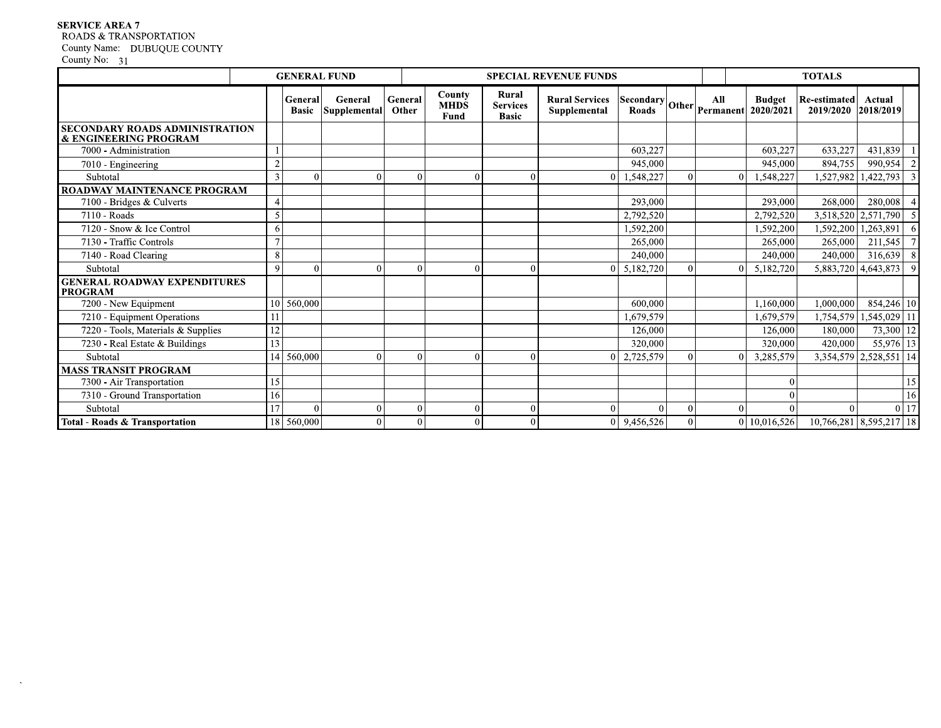# **SERVICE AREA 7**

# ROADS & TRANSPORTATION

County Name: DUBUQUE COUNTY<br>County No: 31

 $\sim$ 

|                                                                |          | <b>GENERAL FUND</b>     |                         |                  |                               |                                          | <b>SPECIAL REVENUE FUNDS</b>          |                                   |          |          |                            | <b>TOTALS</b>                    |                         |                |
|----------------------------------------------------------------|----------|-------------------------|-------------------------|------------------|-------------------------------|------------------------------------------|---------------------------------------|-----------------------------------|----------|----------|----------------------------|----------------------------------|-------------------------|----------------|
|                                                                |          | General<br><b>Basic</b> | General<br>Supplemental | General<br>Other | County<br><b>MHDS</b><br>Fund | Rural<br><b>Services</b><br><b>Basic</b> | <b>Rural Services</b><br>Supplemental | $[Security] Other   Permannent  $ |          |          | <b>Budget</b><br>2020/2021 | <b>Re-estimated</b><br>2019/2020 | Actual<br>2018/2019     |                |
| <b>SECONDARY ROADS ADMINISTRATION</b><br>& ENGINEERING PROGRAM |          |                         |                         |                  |                               |                                          |                                       |                                   |          |          |                            |                                  |                         |                |
| 7000 - Administration                                          |          |                         |                         |                  |                               |                                          |                                       | 603,227                           |          |          | 603,227                    | 633,227                          | 431,839                 |                |
| 7010 - Engineering                                             |          |                         |                         |                  |                               |                                          |                                       | 945,000                           |          |          | 945,000                    | 894,755                          | 990,954                 | $\overline{2}$ |
| Subtotal                                                       |          | $\Omega$                | $\Omega$                | $\theta$         | $\Omega$                      | $\Omega$                                 |                                       | 1,548,227                         | $\Omega$ | $\Omega$ | 1,548,227                  | 1,527,982                        | 1,422,793               |                |
| <b>ROADWAY MAINTENANCE PROGRAM</b>                             |          |                         |                         |                  |                               |                                          |                                       |                                   |          |          |                            |                                  |                         |                |
| 7100 - Bridges & Culverts                                      |          |                         |                         |                  |                               |                                          |                                       | $\overline{293,000}$              |          |          | 293,000                    | 268,000                          | 280,008                 |                |
| 7110 - Roads                                                   |          |                         |                         |                  |                               |                                          |                                       | 2,792,520                         |          |          | 2,792,520                  |                                  | 3,518,520 2,571,790     |                |
| 7120 - Snow & Ice Control                                      |          |                         |                         |                  |                               |                                          |                                       | 1,592,200                         |          |          | 1,592,200                  | 1,592,200                        | 1,263,891               | -6             |
| 7130 - Traffic Controls                                        |          |                         |                         |                  |                               |                                          |                                       | 265,000                           |          |          | 265,000                    | 265,000                          | 211,545                 | $\overline{7}$ |
| 7140 - Road Clearing                                           | 8        |                         |                         |                  |                               |                                          |                                       | 240,000                           |          |          | 240,000                    | 240,000                          | 316,639                 | $\overline{8}$ |
| Subtotal                                                       | <b>Q</b> |                         | 0                       | $\Omega$         | $\theta$                      |                                          |                                       | 5,182,720                         |          | 0        | 5,182,720                  | 5,883,720                        | 4,643,873               | $\overline{9}$ |
| <b>GENERAL ROADWAY EXPENDITURES</b><br><b>PROGRAM</b>          |          |                         |                         |                  |                               |                                          |                                       |                                   |          |          |                            |                                  |                         |                |
| 7200 - New Equipment                                           | 10       | 560,000                 |                         |                  |                               |                                          |                                       | 600.000                           |          |          | 1.160.000                  | 1,000,000                        | 854,246 10              |                |
| 7210 - Equipment Operations                                    |          |                         |                         |                  |                               |                                          |                                       | 1.679.579                         |          |          | 1,679,579                  | 1,754,579                        | 1,545,029 11            |                |
| 7220 - Tools, Materials & Supplies                             | 12       |                         |                         |                  |                               |                                          |                                       | 126,000                           |          |          | 126,000                    | 180,000                          | $73,300$ 12             |                |
| 7230 - Real Estate & Buildings                                 | 13       |                         |                         |                  |                               |                                          |                                       | 320,000                           |          |          | 320,000                    | 420,000                          | $55,976$ 13             |                |
| Subtotal                                                       | 14       | 560,000                 | $\Omega$                | $\Omega$         | $\theta$                      | $\Omega$                                 |                                       | 2,725,579                         | 0        | $\Omega$ | 3,285,579                  | 3,354,579                        | $2,528,551$ 14          |                |
| <b>MASS TRANSIT PROGRAM</b>                                    |          |                         |                         |                  |                               |                                          |                                       |                                   |          |          |                            |                                  |                         |                |
| 7300 - Air Transportation                                      | 15       |                         |                         |                  |                               |                                          |                                       |                                   |          |          |                            |                                  |                         | 15             |
| 7310 - Ground Transportation                                   | 16       |                         |                         |                  |                               |                                          |                                       |                                   |          |          |                            |                                  |                         | 16             |
| Subtotal                                                       | 17       | $\Omega$                | $\Omega$                | $\theta$         | $\theta$                      | $\Omega$                                 |                                       | $\theta$                          | $\Omega$ | $\Omega$ |                            | $\Omega$                         |                         | $0$ 17         |
| Total - Roads & Transportation                                 |          | 18 560,000              | 0                       | $\Omega$         | $\theta$                      | $\Omega$                                 |                                       | 9,456,526                         | 0        |          | 0 10.016.526               |                                  | 10,766,281 8,595,217 18 |                |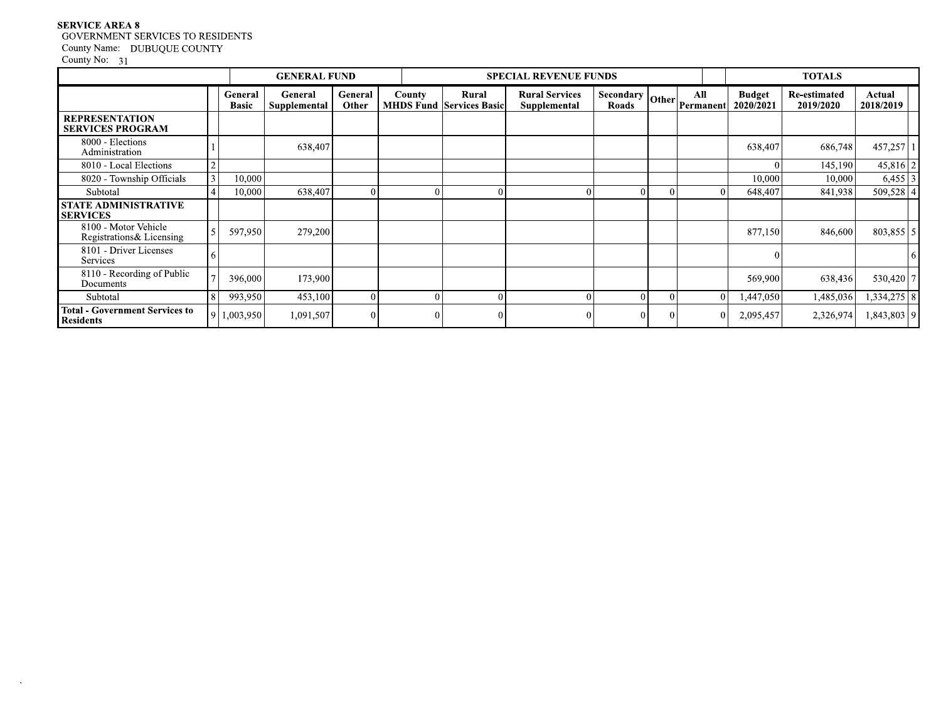# **SERVICE AREA 8** GOVERNMENT SERVICES TO RESIDENTS County Name: DUBUQUE COUNTY<br>County No: 31

 $\sim$ 

|                                                           |                         | <b>GENERAL FUND</b>     |                  |               |                                          | <b>SPECIAL REVENUE FUNDS</b>          |                                                                             |                  |                            | <b>TOTALS</b>                    |                     |
|-----------------------------------------------------------|-------------------------|-------------------------|------------------|---------------|------------------------------------------|---------------------------------------|-----------------------------------------------------------------------------|------------------|----------------------------|----------------------------------|---------------------|
|                                                           | General<br><b>Basic</b> | General<br>Supplemental | General<br>Other | <b>County</b> | Rural<br><b>MHDS Fund Services Basic</b> | <b>Rural Services</b><br>Supplemental | $\left  \right.$ Secondary $\left  \right.$ Other $\left  \right.$<br>Roads | All<br>Permanent | <b>Budget</b><br>2020/2021 | <b>Re-estimated</b><br>2019/2020 | Actual<br>2018/2019 |
| <b>REPRESENTATION</b><br><b>SERVICES PROGRAM</b>          |                         |                         |                  |               |                                          |                                       |                                                                             |                  |                            |                                  |                     |
| 8000 - Elections<br>Administration                        |                         | 638,407                 |                  |               |                                          |                                       |                                                                             |                  | 638,407                    | 686,748                          | 457,257             |
| 8010 - Local Elections                                    |                         |                         |                  |               |                                          |                                       |                                                                             |                  |                            | 145,190                          | 45,816              |
| 8020 - Township Officials                                 | 10,000                  |                         |                  |               |                                          |                                       |                                                                             |                  | 10,000                     | 10,000                           | 6,455               |
| Subtotal                                                  | 10.000                  | 638,407                 |                  |               | 0                                        | $\Omega$                              | $\Omega$                                                                    | 0                | 648,407                    | 841,938                          | 509,528             |
| <b>STATE ADMINISTRATIVE</b><br><b>SERVICES</b>            |                         |                         |                  |               |                                          |                                       |                                                                             |                  |                            |                                  |                     |
| 8100 - Motor Vehicle<br>Registrations & Licensing         | 597,950                 | 279,200                 |                  |               |                                          |                                       |                                                                             |                  | 877,150                    | 846,600                          | $803,855$ 5         |
| 8101 - Driver Licenses<br>Services                        |                         |                         |                  |               |                                          |                                       |                                                                             |                  | $\Omega$                   |                                  |                     |
| 8110 - Recording of Public<br>Documents                   | 396,000                 | 173,900                 |                  |               |                                          |                                       |                                                                             |                  | 569,900                    | 638,436                          | 530,420 7           |
| Subtotal                                                  | 993,950                 | 453,100                 |                  | $\Omega$      | 0                                        | $\Omega$                              | $\Omega$                                                                    |                  | 1,447,050                  | 1,485,036                        | 1,334,275   8       |
| <b>Total - Government Services to</b><br><b>Residents</b> | 1,003,950               | 1,091,507               |                  |               | 0                                        | $\Omega$                              | $\Omega$                                                                    | $\Omega$         | 2,095,457                  | 2,326,974                        | 1,843,803   9       |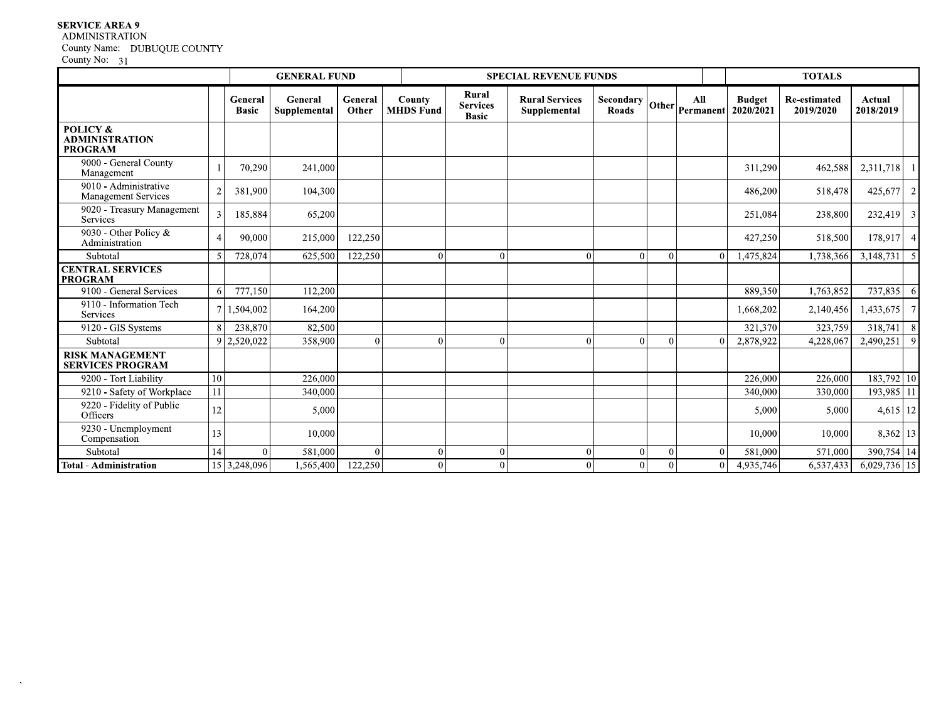## **SERVICE AREA 9**

 $\ddot{\phantom{a}}$ 

# **ADMINISTRATION**

County Name: DUBUQUE COUNTY<br>County No: 31

|                                                     |    |                         | <b>GENERAL FUND</b>     |                  |                            |                                          | <b>SPECIAL REVENUE FUNDS</b>          |                           | <b>TOTALS</b>  |          |                                                                                  |                                  |                     |    |
|-----------------------------------------------------|----|-------------------------|-------------------------|------------------|----------------------------|------------------------------------------|---------------------------------------|---------------------------|----------------|----------|----------------------------------------------------------------------------------|----------------------------------|---------------------|----|
|                                                     |    | General<br><b>Basic</b> | General<br>Supplemental | General<br>Other | County<br><b>MHDS Fund</b> | Rural<br><b>Services</b><br><b>Basic</b> | <b>Rural Services</b><br>Supplemental | <b>Secondary</b><br>Roads |                | All      | <b>Budget</b><br>$\left \text{Other}\right  \text{Permannent} \right  2020/2021$ | <b>Re-estimated</b><br>2019/2020 | Actual<br>2018/2019 |    |
| POLICY &<br><b>ADMINISTRATION</b><br><b>PROGRAM</b> |    |                         |                         |                  |                            |                                          |                                       |                           |                |          |                                                                                  |                                  |                     |    |
| 9000 - General County<br>Management                 |    | 70,290                  | 241,000                 |                  |                            |                                          |                                       |                           |                |          | 311,290                                                                          | 462,588                          | 2,311,718           |    |
| 9010 - Administrative<br>Management Services        |    | 381,900                 | 104,300                 |                  |                            |                                          |                                       |                           |                |          | 486,200                                                                          | 518,478                          | 425,677             |    |
| 9020 - Treasury Management<br><b>Services</b>       |    | 185,884                 | 65,200                  |                  |                            |                                          |                                       |                           |                |          | 251,084                                                                          | 238,800                          | 232,419             |    |
| 9030 - Other Policy &<br>Administration             |    | 90,000                  | 215,000                 | 122,250          |                            |                                          |                                       |                           |                |          | 427,250                                                                          | 518,500                          | 178,917             |    |
| Subtotal                                            |    | 728,074                 | 625,500                 | 122,250          | $\Omega$                   | $\Omega$                                 | $\theta$                              | $\Omega$                  | $\overline{0}$ | $\Omega$ | 1,475,824                                                                        | 1,738,366                        | 3,148,731           |    |
| <b>CENTRAL SERVICES</b><br><b>PROGRAM</b>           |    |                         |                         |                  |                            |                                          |                                       |                           |                |          |                                                                                  |                                  |                     |    |
| 9100 - General Services                             | 6  | 777,150                 | 112,200                 |                  |                            |                                          |                                       |                           |                |          | 889,350                                                                          | 1,763,852                        | 737,835             | -6 |
| 9110 - Information Tech<br>Services                 |    | 1,504,002               | 164,200                 |                  |                            |                                          |                                       |                           |                |          | 1,668,202                                                                        | 2,140,456                        | 1,433,675           |    |
| 9120 - GIS Systems                                  |    | 238,870                 | 82,500                  |                  |                            |                                          |                                       |                           |                |          | 321,370                                                                          | 323,759                          | 318,741             | -S |
| Subtotal                                            | q  | 2,520,022               | 358,900                 | $\Omega$         | $\Omega$                   | $\Omega$                                 | $\Omega$                              | $\Omega$                  | $\Omega$       | 0        | 2,878,922                                                                        | 4,228,067                        | 2,490,251           | -C |
| <b>RISK MANAGEMENT</b><br><b>SERVICES PROGRAM</b>   |    |                         |                         |                  |                            |                                          |                                       |                           |                |          |                                                                                  |                                  |                     |    |
| 9200 - Tort Liability                               | 10 |                         | 226,000                 |                  |                            |                                          |                                       |                           |                |          | 226,000                                                                          | 226,000                          | 183,792 10          |    |
| 9210 - Safety of Workplace                          | 11 |                         | 340,000                 |                  |                            |                                          |                                       |                           |                |          | 340,000                                                                          | 330,000                          | 193,985 11          |    |
| 9220 - Fidelity of Public<br>Officers               | 12 |                         | 5,000                   |                  |                            |                                          |                                       |                           |                |          | 5,000                                                                            | 5,000                            | 4,615 12            |    |
| 9230 - Unemployment<br>Compensation                 | 13 |                         | 10.000                  |                  |                            |                                          |                                       |                           |                |          | 10.000                                                                           | 10,000                           | 8,362 13            |    |
| Subtotal                                            | 14 | $\Omega$                | 581,000                 | $\Omega$         | $\Omega$                   | $\overline{0}$                           | $\mathbf{0}$                          | $\Omega$                  | $\overline{0}$ | $\Omega$ | 581,000                                                                          | 571,000                          | 390,754 14          |    |
| Total - Administration                              |    | 15 3,248,096            | 1,565,400               | 122,250          | $\theta$                   | $\overline{0}$                           | $\Omega$                              | $\mathbf{0}$              | $\overline{0}$ | $\Omega$ | 4,935,746                                                                        | 6,537,433                        | 6,029,736 15        |    |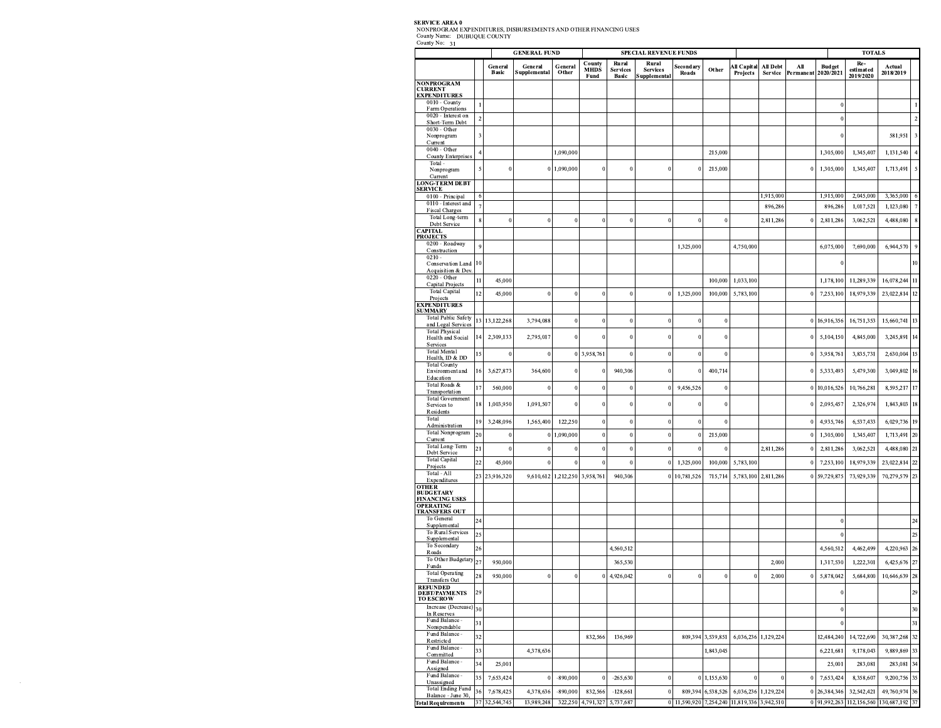| County Name: DUBUQUE COUNTY<br>County No: 31                    |                |                            |                         |                      |                               |                          |                                       |                                             |                     |                                |                      |                  |                            |                                        |                                 |
|-----------------------------------------------------------------|----------------|----------------------------|-------------------------|----------------------|-------------------------------|--------------------------|---------------------------------------|---------------------------------------------|---------------------|--------------------------------|----------------------|------------------|----------------------------|----------------------------------------|---------------------------------|
|                                                                 |                |                            | <b>GENERAL FUND</b>     |                      | County                        | Rural                    | <b>SPECIAL REVENUE FUNDS</b><br>Rural |                                             |                     |                                |                      |                  |                            | <b>TOTALS</b><br>Re-                   |                                 |
|                                                                 |                | General<br>Basic           | General<br>Supplemental | General<br>Other     | <b>MHDS</b><br>Fund           | <b>Services</b><br>Basic | <b>Services</b><br>Supplemental       | Secondary<br>Roads                          | Other               | <b>All Capital</b><br>Projects | All Debt<br>Service  | All<br>Permanent | <b>Budget</b><br>2020/2021 | estimated<br>2019/2020                 | Actual<br>2018/2019             |
| <b>NONPROGRAM</b><br><b>CURRENT</b>                             |                |                            |                         |                      |                               |                          |                                       |                                             |                     |                                |                      |                  |                            |                                        |                                 |
| <b>EXPENDITURES</b><br>0010 - County                            |                |                            |                         |                      |                               |                          |                                       |                                             |                     |                                |                      |                  |                            |                                        |                                 |
| Farm Operations<br>0020 - Interest on                           | $\overline{2}$ |                            |                         |                      |                               |                          |                                       |                                             |                     |                                |                      |                  |                            |                                        |                                 |
| Short-Term Debt<br>$0030 - Other$<br>Nonprogram                 | 3              |                            |                         |                      |                               |                          |                                       |                                             |                     |                                |                      |                  |                            |                                        | 581,951                         |
| Current<br>0040 - Other                                         |                |                            |                         |                      |                               |                          |                                       |                                             |                     |                                |                      |                  |                            |                                        |                                 |
| <b>County Enterprises</b><br>Total -                            | $\overline{4}$ |                            |                         | 1,090,000            |                               |                          |                                       |                                             | 215,000             |                                |                      |                  | 1,305,000                  | 1,345,407                              | 1,131,540                       |
| Nonprogram<br>Current                                           |                | $\mathbf{0}$               |                         | 0 1,090,000          | $\Omega$                      | $\Omega$                 |                                       |                                             | 215,000             |                                |                      |                  | 1,305,000                  | 1,345,407                              | 1,713,491                       |
| <b>LONG-TERM DEBT</b><br><b>SERVICE</b>                         |                |                            |                         |                      |                               |                          |                                       |                                             |                     |                                |                      |                  |                            |                                        |                                 |
| 0100 - Principal<br>0110 - Interest and                         | -6             |                            |                         |                      |                               |                          |                                       |                                             |                     |                                | 1,915,000            |                  | 1,915,000                  | 2,045,000                              | 3,365,000                       |
| <b>Fiscal Charges</b><br>Total Long-term                        | 8              | $\bf{0}$                   | $\theta$                | $\bf{0}$             | $\theta$                      | $\Omega$                 | $\Omega$                              | $\mathbf{0}$                                | $\theta$            |                                | 896,286<br>2,811,286 |                  | 896,286<br>2,811,286       | 1,017,521<br>3,062,521                 | 1,123,080<br>4,488,080          |
| Debt Service<br><b>CAPITAL</b>                                  |                |                            |                         |                      |                               |                          |                                       |                                             |                     |                                |                      |                  |                            |                                        |                                 |
| <b>PROJECTS</b><br>0200 - Roadway                               | 9              |                            |                         |                      |                               |                          |                                       | 1,325,000                                   |                     | 4,750,000                      |                      |                  | 6,075,000                  | 7,690,000                              | 6,944,570                       |
| Construction<br>$0210 -$                                        |                |                            |                         |                      |                               |                          |                                       |                                             |                     |                                |                      |                  |                            |                                        |                                 |
| Conservation Land<br>Acquisition & Dev.<br>0220 - Other         | 10             |                            |                         |                      |                               |                          |                                       |                                             |                     |                                |                      |                  |                            |                                        |                                 |
| Capital Projects<br><b>Total Capital</b>                        | $\mathbf{11}$  | 45,000                     |                         |                      |                               |                          |                                       |                                             | 100,000             | 1.033.100                      |                      |                  | 1,178,100                  | 11,289,339                             | 16,078,244                      |
| Projects<br><b>EXPENDITURES</b>                                 | 12             | 45,000                     | $\theta$                | $\theta$             |                               |                          |                                       | 1,325,000                                   | 100,000             | 5,783,100                      |                      |                  | 7,253,100                  | 18,979,339                             | 23,022,814                      |
| <b>SUMMARY</b><br><b>Total Public Safety</b>                    |                |                            |                         |                      |                               |                          |                                       |                                             |                     |                                |                      |                  |                            |                                        |                                 |
| and Legal Services<br><b>Total Physical</b>                     |                | 13 13,122,268              | 3,794,088               | $\bf{0}$             | $\theta$                      | $\Omega$                 | 0                                     | $\mathbf{0}$                                | $\theta$            |                                |                      |                  | 16,916,356                 | 16,751,353                             | 15,660,741                      |
| Health and Social<br>Services                                   | 14             | 2,309,133                  | 2,795,017               | $\bf{0}$             | $\mathbf{0}$                  | $\bf{0}$                 |                                       | $\mathbf{0}$                                | $\overline{0}$      |                                |                      |                  | 5,104,150                  | 4,845,000                              | 3,245,891                       |
| <b>Total Mental</b><br>Health, ID & DD                          | 15             | $\bf{0}$                   | 0                       |                      | 0 3,958,761                   | $\theta$                 |                                       | $\theta$                                    | $\Omega$            |                                |                      |                  | 3,958,761                  | 3,835,731                              | 2,630,004                       |
| <b>Total County</b><br>Environment and                          | 16             | 3,627,873                  | 364,600                 | $\bf{0}$             | 0                             | 940,306                  |                                       | $\bf{0}$                                    | 400,714             |                                |                      |                  | 5,333,493                  | 5,479,300                              | 3,049,802                       |
| Education<br>Total Roads &                                      | 17             | 560,000                    | $\theta$                | $\bf{0}$             | $\Omega$                      | $\mathbf{0}$             |                                       | 9,456,526                                   | $\Omega$            |                                |                      |                  | 10,016,526                 | 10,766,281                             | 8,595,217                       |
| Transportation<br><b>Total Government</b><br>Services to        | 18             | 1,003,950                  | 1,091,507               | $\boldsymbol{0}$     |                               |                          |                                       |                                             |                     |                                |                      |                  | 2,095,457                  | 2,326,974                              | 1,843,803                       |
| Residents<br>Total                                              |                |                            |                         |                      |                               |                          |                                       |                                             |                     |                                |                      |                  |                            |                                        |                                 |
| <b>Administration</b><br>Total Nonprogram                       | 19<br>20       | 3,248,096<br>$\,0\,$       | 1,565,400               | 122,250<br>1,090,000 | $\bf{0}$<br>$\mathbf{0}$      | $\theta$<br>$\theta$     |                                       | $\Omega$<br>$\theta$                        | $\Omega$<br>215,000 |                                |                      |                  | 4,935,746<br>1,305,000     | 6,537,433<br>1,345,407                 | 6,029,736<br>1,713,491          |
| Current<br>Total Long-Term                                      | 21             | $\bf{0}$                   | $\Omega$                | $\mathbf{0}$         | $\bf{0}$                      | $\mathbf{0}$             |                                       | $\mathbf{0}$                                | $\theta$            |                                | 2,811,286            |                  | 2,811,286                  | 3,062,521                              | 4,488,080                       |
| Debt Service<br><b>Total Capital</b>                            | 22             | 45,000                     | $\theta$                | $\Omega$             | $\theta$                      | $\theta$                 |                                       | 1,325,000                                   | 100,000             | 5,783,100                      |                      |                  | 7,253,100                  | 18,979,339                             | 23,022,814                      |
| Projects<br>Total - All                                         |                | 23 23,916,320              |                         |                      | 9,610,612 1,212,250 3,958,761 | 940,306                  |                                       | 10,781,526                                  | 715,714             | 5,783,100                      | 2,811,286            |                  | 59,729,875                 | 73,929,339                             | 70,279,579                      |
| Expenditures<br><b>OTHER</b>                                    |                |                            |                         |                      |                               |                          |                                       |                                             |                     |                                |                      |                  |                            |                                        |                                 |
| <b>BUDGETARY</b><br><b>FINANCING USES</b><br><b>OPERATING</b>   |                |                            |                         |                      |                               |                          |                                       |                                             |                     |                                |                      |                  |                            |                                        |                                 |
| <b>TRANSFERS OUT</b><br>To General                              |                |                            |                         |                      |                               |                          |                                       |                                             |                     |                                |                      |                  |                            |                                        |                                 |
| Supplemental<br>To Rural Services                               | $24\,$<br>25   |                            |                         |                      |                               |                          |                                       |                                             |                     |                                |                      |                  | $\Omega$                   |                                        |                                 |
| Supplemental<br>To Secondary                                    | $26\,$         |                            |                         |                      |                               | 4,560,512                |                                       |                                             |                     |                                |                      |                  | 4,560,512                  | 4,462,499                              | 4,220,963<br>26                 |
| Roads<br>To Other Budgetary                                     | 27             | 950,000                    |                         |                      |                               | 365,530                  |                                       |                                             |                     |                                | 2,000                |                  | 1,317,530                  | 1,222,301                              | 6,425,676                       |
| Funds<br><b>Total Operating</b>                                 | 28             | 950,000                    | $\mathbf{0}$            | $\mathbf{0}$         |                               | 4,926,042                |                                       | $\mathbf{0}$                                |                     |                                | 2,000                |                  | 5,878,042                  | 5,684,800                              | 10,646,639                      |
| Transfers Out<br><b>REFUNDED</b>                                | 29             |                            |                         |                      |                               |                          |                                       |                                             |                     |                                |                      |                  |                            |                                        |                                 |
| <b>DEBT/PAYMENTS</b><br><b>TO ESCROW</b><br>Increase (Decrease) |                |                            |                         |                      |                               |                          |                                       |                                             |                     |                                |                      |                  |                            |                                        |                                 |
| In Reserves<br>Fund Balance -                                   | 30             |                            |                         |                      |                               |                          |                                       |                                             |                     |                                |                      |                  |                            |                                        |                                 |
| Nonspendable<br>Fund Balance -                                  | 31             |                            |                         |                      |                               |                          |                                       |                                             |                     |                                |                      |                  |                            |                                        |                                 |
| Restricted<br>Fund Balance -                                    | 32             |                            |                         |                      | 832,566                       | 136,969                  |                                       |                                             | 809,394 3,539,851   | 6,036,236 1,129,224            |                      |                  | 12,484,240                 | 14,722,690                             | 30,387,268                      |
| Committed<br>Fund Balance -                                     | 33             |                            | 4,378,636               |                      |                               |                          |                                       |                                             | 1,843,045           |                                |                      |                  | 6,221,681                  | 9,178,043                              | 9,889,869                       |
| Assigned<br>Fund Balance -                                      | 34             | 25,001                     |                         |                      |                               |                          |                                       |                                             |                     |                                | $\theta$             |                  | 25,001                     | 283,081                                | 283,081                         |
| Unassigned<br><b>Total Ending Fund</b>                          | 35             | 7,653,424                  | $\Omega$                | $-890,000$           | $\Omega$                      | $-265,630$               | 0                                     |                                             | 0 1,155,630         |                                |                      | C                | 7,653,424                  | 8,358,607                              | 9,200,756                       |
| Balance - June 30,<br><b>Total Requirements</b>                 | 36             | 7,678,425<br>37 32,544,745 | 4,378,636<br>13,989,248 | $-890,000$           | 832,566<br>322,250 4,791,327  | $-128,661$<br>5,737,687  |                                       | 0 11,590,920 7,254,240 11,819,336 3,942,510 | 809,394 6,538,526   | 6,036,236 1,129,224            |                      |                  | 26,384,346                 | 32,542,421<br>0 91,992,263 112,156,560 | 49,760,974<br>130,687,192<br>37 |